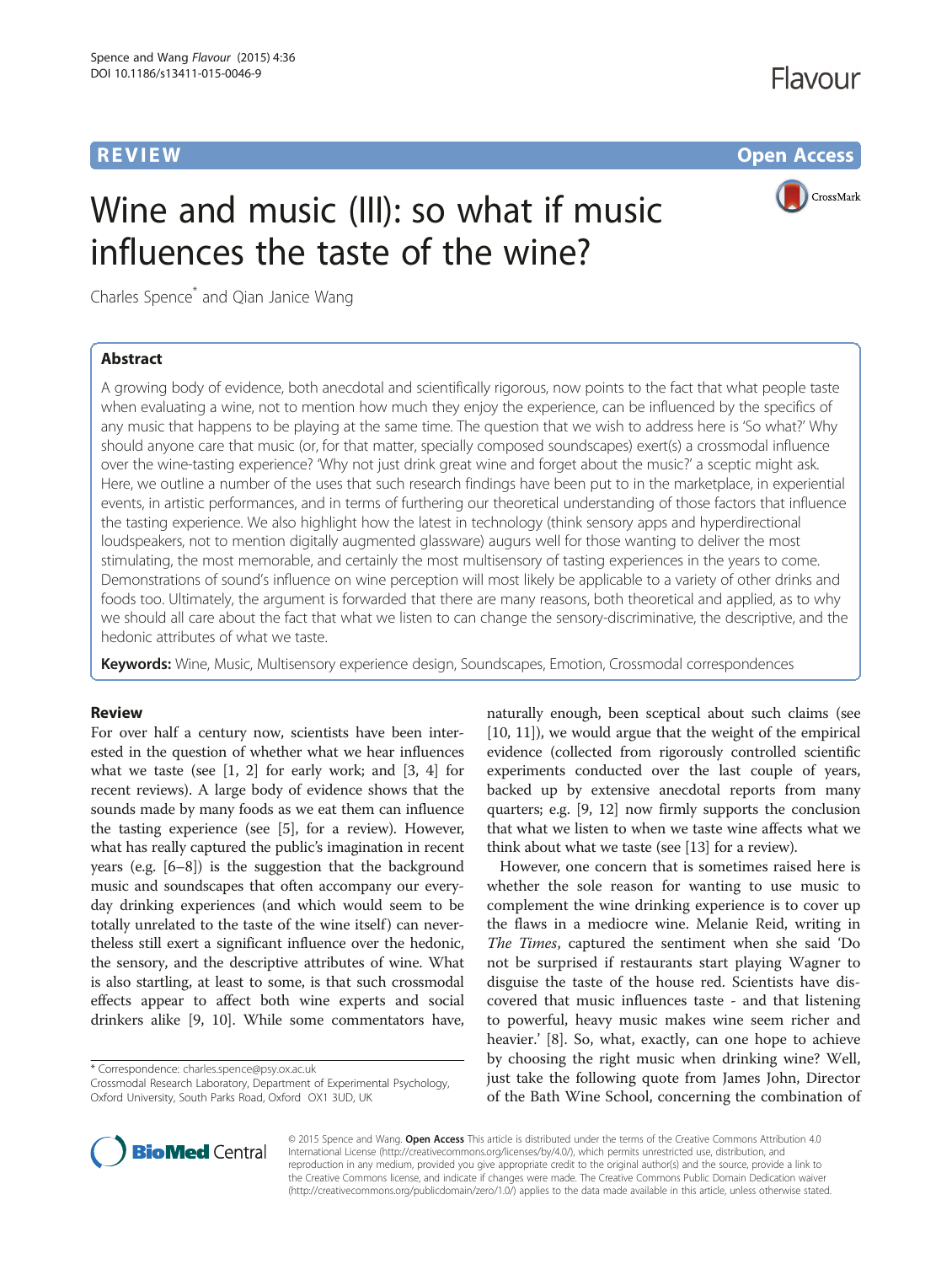**REVIEW CONSTRUCTION CONSTRUCTION CONSTRUCTS** 



# Wine and music (III): so what if music influences the taste of the wine?

Charles Spence\* and Qian Janice Wang

# Abstract

A growing body of evidence, both anecdotal and scientifically rigorous, now points to the fact that what people taste when evaluating a wine, not to mention how much they enjoy the experience, can be influenced by the specifics of any music that happens to be playing at the same time. The question that we wish to address here is 'So what?' Why should anyone care that music (or, for that matter, specially composed soundscapes) exert(s) a crossmodal influence over the wine-tasting experience? 'Why not just drink great wine and forget about the music?' a sceptic might ask. Here, we outline a number of the uses that such research findings have been put to in the marketplace, in experiential events, in artistic performances, and in terms of furthering our theoretical understanding of those factors that influence the tasting experience. We also highlight how the latest in technology (think sensory apps and hyperdirectional loudspeakers, not to mention digitally augmented glassware) augurs well for those wanting to deliver the most stimulating, the most memorable, and certainly the most multisensory of tasting experiences in the years to come. Demonstrations of sound's influence on wine perception will most likely be applicable to a variety of other drinks and foods too. Ultimately, the argument is forwarded that there are many reasons, both theoretical and applied, as to why we should all care about the fact that what we listen to can change the sensory-discriminative, the descriptive, and the hedonic attributes of what we taste.

Keywords: Wine, Music, Multisensory experience design, Soundscapes, Emotion, Crossmodal correspondences

# Review

For over half a century now, scientists have been interested in the question of whether what we hear influences what we taste (see  $[1, 2]$  $[1, 2]$  $[1, 2]$  for early work; and  $[3, 4]$  $[3, 4]$  $[3, 4]$  $[3, 4]$  for recent reviews). A large body of evidence shows that the sounds made by many foods as we eat them can influence the tasting experience (see [[5\]](#page-11-0), for a review). However, what has really captured the public's imagination in recent years (e.g. [\[6](#page-12-0)–[8\]](#page-12-0)) is the suggestion that the background music and soundscapes that often accompany our everyday drinking experiences (and which would seem to be totally unrelated to the taste of the wine itself) can nevertheless still exert a significant influence over the hedonic, the sensory, and the descriptive attributes of wine. What is also startling, at least to some, is that such crossmodal effects appear to affect both wine experts and social drinkers alike [[9, 10](#page-12-0)]. While some commentators have,

\* Correspondence: [charles.spence@psy.ox.ac.uk](mailto:charles.spence@psy.ox.ac.uk)

Crossmodal Research Laboratory, Department of Experimental Psychology, Oxford University, South Parks Road, Oxford OX1 3UD, UK

naturally enough, been sceptical about such claims (see [[10](#page-12-0), [11](#page-12-0)]), we would argue that the weight of the empirical evidence (collected from rigorously controlled scientific experiments conducted over the last couple of years, backed up by extensive anecdotal reports from many quarters; e.g. [[9, 12](#page-12-0)] now firmly supports the conclusion that what we listen to when we taste wine affects what we think about what we taste (see [[13](#page-12-0)] for a review).

However, one concern that is sometimes raised here is whether the sole reason for wanting to use music to complement the wine drinking experience is to cover up the flaws in a mediocre wine. Melanie Reid, writing in The Times, captured the sentiment when she said 'Do not be surprised if restaurants start playing Wagner to disguise the taste of the house red. Scientists have discovered that music influences taste - and that listening to powerful, heavy music makes wine seem richer and heavier.' [\[8\]](#page-12-0). So, what, exactly, can one hope to achieve by choosing the right music when drinking wine? Well, just take the following quote from James John, Director of the Bath Wine School, concerning the combination of



© 2015 Spence and Wang. Open Access This article is distributed under the terms of the Creative Commons Attribution 4.0 International License [\(http://creativecommons.org/licenses/by/4.0/](http://creativecommons.org/licenses/by/4.0/)), which permits unrestricted use, distribution, and reproduction in any medium, provided you give appropriate credit to the original author(s) and the source, provide a link to the Creative Commons license, and indicate if changes were made. The Creative Commons Public Domain Dedication waiver [\(http://creativecommons.org/publicdomain/zero/1.0/](http://creativecommons.org/publicdomain/zero/1.0/)) applies to the data made available in this article, unless otherwise stated.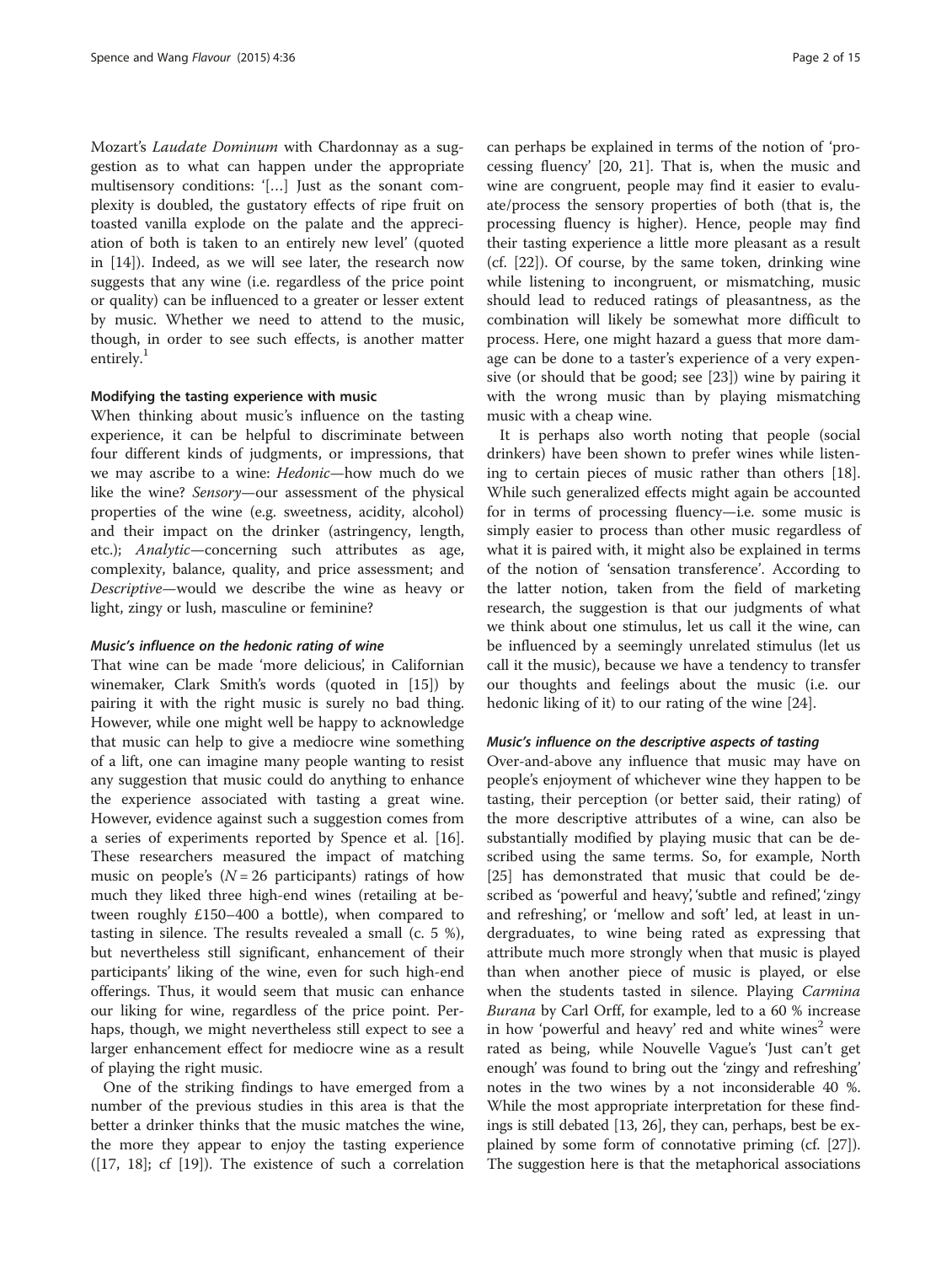Mozart's Laudate Dominum with Chardonnay as a suggestion as to what can happen under the appropriate multisensory conditions: '[…] Just as the sonant complexity is doubled, the gustatory effects of ripe fruit on toasted vanilla explode on the palate and the appreciation of both is taken to an entirely new level' (quoted in [\[14](#page-12-0)]). Indeed, as we will see later, the research now suggests that any wine (i.e. regardless of the price point or quality) can be influenced to a greater or lesser extent by music. Whether we need to attend to the music, though, in order to see such effects, is another matter entirely.<sup>1</sup>

#### Modifying the tasting experience with music

When thinking about music's influence on the tasting experience, it can be helpful to discriminate between four different kinds of judgments, or impressions, that we may ascribe to a wine: Hedonic—how much do we like the wine? Sensory—our assessment of the physical properties of the wine (e.g. sweetness, acidity, alcohol) and their impact on the drinker (astringency, length, etc.); Analytic—concerning such attributes as age, complexity, balance, quality, and price assessment; and Descriptive—would we describe the wine as heavy or light, zingy or lush, masculine or feminine?

#### Music's influence on the hedonic rating of wine

That wine can be made 'more delicious', in Californian winemaker, Clark Smith's words (quoted in [[15](#page-12-0)]) by pairing it with the right music is surely no bad thing. However, while one might well be happy to acknowledge that music can help to give a mediocre wine something of a lift, one can imagine many people wanting to resist any suggestion that music could do anything to enhance the experience associated with tasting a great wine. However, evidence against such a suggestion comes from a series of experiments reported by Spence et al. [\[16](#page-12-0)]. These researchers measured the impact of matching music on people's  $(N = 26$  participants) ratings of how much they liked three high-end wines (retailing at between roughly £150–400 a bottle), when compared to tasting in silence. The results revealed a small (c. 5 %), but nevertheless still significant, enhancement of their participants' liking of the wine, even for such high-end offerings. Thus, it would seem that music can enhance our liking for wine, regardless of the price point. Perhaps, though, we might nevertheless still expect to see a larger enhancement effect for mediocre wine as a result of playing the right music.

One of the striking findings to have emerged from a number of the previous studies in this area is that the better a drinker thinks that the music matches the wine, the more they appear to enjoy the tasting experience  $([17, 18];$  $([17, 18];$  $([17, 18];$  cf  $[19]$  $[19]$ ). The existence of such a correlation

can perhaps be explained in terms of the notion of 'processing fluency' [\[20](#page-12-0), [21\]](#page-12-0). That is, when the music and wine are congruent, people may find it easier to evaluate/process the sensory properties of both (that is, the processing fluency is higher). Hence, people may find their tasting experience a little more pleasant as a result (cf. [[22](#page-12-0)]). Of course, by the same token, drinking wine while listening to incongruent, or mismatching, music should lead to reduced ratings of pleasantness, as the combination will likely be somewhat more difficult to process. Here, one might hazard a guess that more damage can be done to a taster's experience of a very expensive (or should that be good; see [\[23\]](#page-12-0)) wine by pairing it with the wrong music than by playing mismatching music with a cheap wine.

It is perhaps also worth noting that people (social drinkers) have been shown to prefer wines while listening to certain pieces of music rather than others [\[18](#page-12-0)]. While such generalized effects might again be accounted for in terms of processing fluency—i.e. some music is simply easier to process than other music regardless of what it is paired with, it might also be explained in terms of the notion of 'sensation transference'. According to the latter notion, taken from the field of marketing research, the suggestion is that our judgments of what we think about one stimulus, let us call it the wine, can be influenced by a seemingly unrelated stimulus (let us call it the music), because we have a tendency to transfer our thoughts and feelings about the music (i.e. our hedonic liking of it) to our rating of the wine [[24\]](#page-12-0).

#### Music's influence on the descriptive aspects of tasting

Over-and-above any influence that music may have on people's enjoyment of whichever wine they happen to be tasting, their perception (or better said, their rating) of the more descriptive attributes of a wine, can also be substantially modified by playing music that can be described using the same terms. So, for example, North [[25\]](#page-12-0) has demonstrated that music that could be described as 'powerful and heavy', 'subtle and refined', 'zingy and refreshing', or 'mellow and soft' led, at least in undergraduates, to wine being rated as expressing that attribute much more strongly when that music is played than when another piece of music is played, or else when the students tasted in silence. Playing Carmina Burana by Carl Orff, for example, led to a 60 % increase in how 'powerful and heavy' red and white wines<sup>2</sup> were rated as being, while Nouvelle Vague's 'Just can't get enough' was found to bring out the 'zingy and refreshing' notes in the two wines by a not inconsiderable 40 %. While the most appropriate interpretation for these findings is still debated [\[13, 26](#page-12-0)], they can, perhaps, best be explained by some form of connotative priming (cf. [[27](#page-12-0)]). The suggestion here is that the metaphorical associations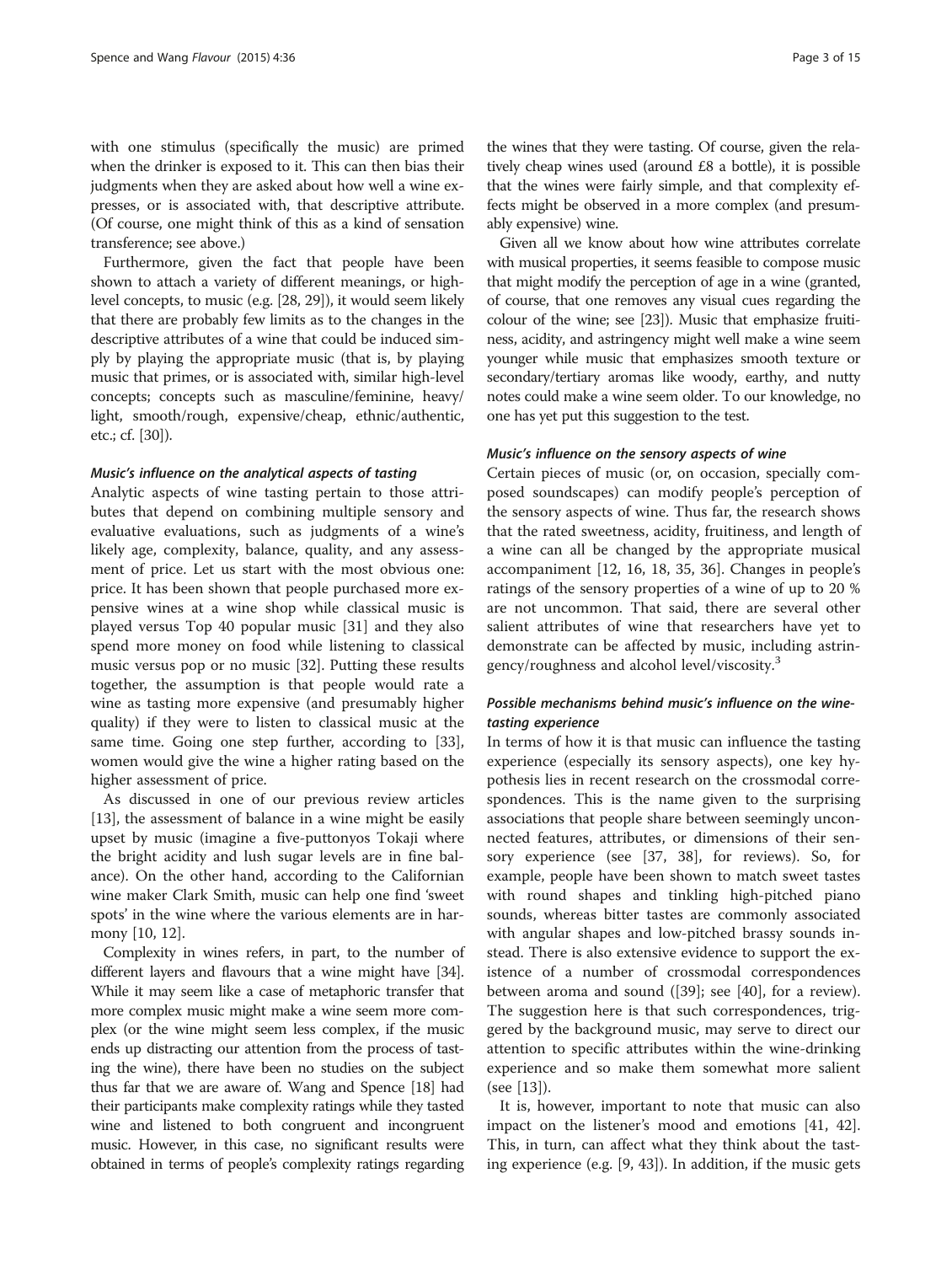with one stimulus (specifically the music) are primed when the drinker is exposed to it. This can then bias their judgments when they are asked about how well a wine expresses, or is associated with, that descriptive attribute. (Of course, one might think of this as a kind of sensation transference; see above.)

Furthermore, given the fact that people have been shown to attach a variety of different meanings, or highlevel concepts, to music (e.g. [\[28](#page-12-0), [29](#page-12-0)]), it would seem likely that there are probably few limits as to the changes in the descriptive attributes of a wine that could be induced simply by playing the appropriate music (that is, by playing music that primes, or is associated with, similar high-level concepts; concepts such as masculine/feminine, heavy/ light, smooth/rough, expensive/cheap, ethnic/authentic, etc.; cf. [\[30\]](#page-12-0)).

#### Music's influence on the analytical aspects of tasting

Analytic aspects of wine tasting pertain to those attributes that depend on combining multiple sensory and evaluative evaluations, such as judgments of a wine's likely age, complexity, balance, quality, and any assessment of price. Let us start with the most obvious one: price. It has been shown that people purchased more expensive wines at a wine shop while classical music is played versus Top 40 popular music [\[31](#page-12-0)] and they also spend more money on food while listening to classical music versus pop or no music [\[32\]](#page-12-0). Putting these results together, the assumption is that people would rate a wine as tasting more expensive (and presumably higher quality) if they were to listen to classical music at the same time. Going one step further, according to [\[33](#page-12-0)], women would give the wine a higher rating based on the higher assessment of price.

As discussed in one of our previous review articles [[13\]](#page-12-0), the assessment of balance in a wine might be easily upset by music (imagine a five-puttonyos Tokaji where the bright acidity and lush sugar levels are in fine balance). On the other hand, according to the Californian wine maker Clark Smith, music can help one find 'sweet spots' in the wine where the various elements are in harmony [[10, 12\]](#page-12-0).

Complexity in wines refers, in part, to the number of different layers and flavours that a wine might have [\[34](#page-12-0)]. While it may seem like a case of metaphoric transfer that more complex music might make a wine seem more complex (or the wine might seem less complex, if the music ends up distracting our attention from the process of tasting the wine), there have been no studies on the subject thus far that we are aware of. Wang and Spence [\[18](#page-12-0)] had their participants make complexity ratings while they tasted wine and listened to both congruent and incongruent music. However, in this case, no significant results were obtained in terms of people's complexity ratings regarding

the wines that they were tasting. Of course, given the relatively cheap wines used (around £8 a bottle), it is possible that the wines were fairly simple, and that complexity effects might be observed in a more complex (and presumably expensive) wine.

Given all we know about how wine attributes correlate with musical properties, it seems feasible to compose music that might modify the perception of age in a wine (granted, of course, that one removes any visual cues regarding the colour of the wine; see [\[23](#page-12-0)]). Music that emphasize fruitiness, acidity, and astringency might well make a wine seem younger while music that emphasizes smooth texture or secondary/tertiary aromas like woody, earthy, and nutty notes could make a wine seem older. To our knowledge, no one has yet put this suggestion to the test.

#### Music's influence on the sensory aspects of wine

Certain pieces of music (or, on occasion, specially composed soundscapes) can modify people's perception of the sensory aspects of wine. Thus far, the research shows that the rated sweetness, acidity, fruitiness, and length of a wine can all be changed by the appropriate musical accompaniment [[12](#page-12-0), [16, 18](#page-12-0), [35, 36](#page-12-0)]. Changes in people's ratings of the sensory properties of a wine of up to 20 % are not uncommon. That said, there are several other salient attributes of wine that researchers have yet to demonstrate can be affected by music, including astringency/roughness and alcohol level/viscosity.<sup>3</sup>

# Possible mechanisms behind music's influence on the winetasting experience

In terms of how it is that music can influence the tasting experience (especially its sensory aspects), one key hypothesis lies in recent research on the crossmodal correspondences. This is the name given to the surprising associations that people share between seemingly unconnected features, attributes, or dimensions of their sensory experience (see [\[37](#page-12-0), [38](#page-12-0)], for reviews). So, for example, people have been shown to match sweet tastes with round shapes and tinkling high-pitched piano sounds, whereas bitter tastes are commonly associated with angular shapes and low-pitched brassy sounds instead. There is also extensive evidence to support the existence of a number of crossmodal correspondences between aroma and sound ([[39\]](#page-12-0); see [\[40](#page-12-0)], for a review). The suggestion here is that such correspondences, triggered by the background music, may serve to direct our attention to specific attributes within the wine-drinking experience and so make them somewhat more salient (see [[13](#page-12-0)]).

It is, however, important to note that music can also impact on the listener's mood and emotions [\[41](#page-12-0), [42](#page-12-0)]. This, in turn, can affect what they think about the tasting experience (e.g. [[9](#page-12-0), [43](#page-12-0)]). In addition, if the music gets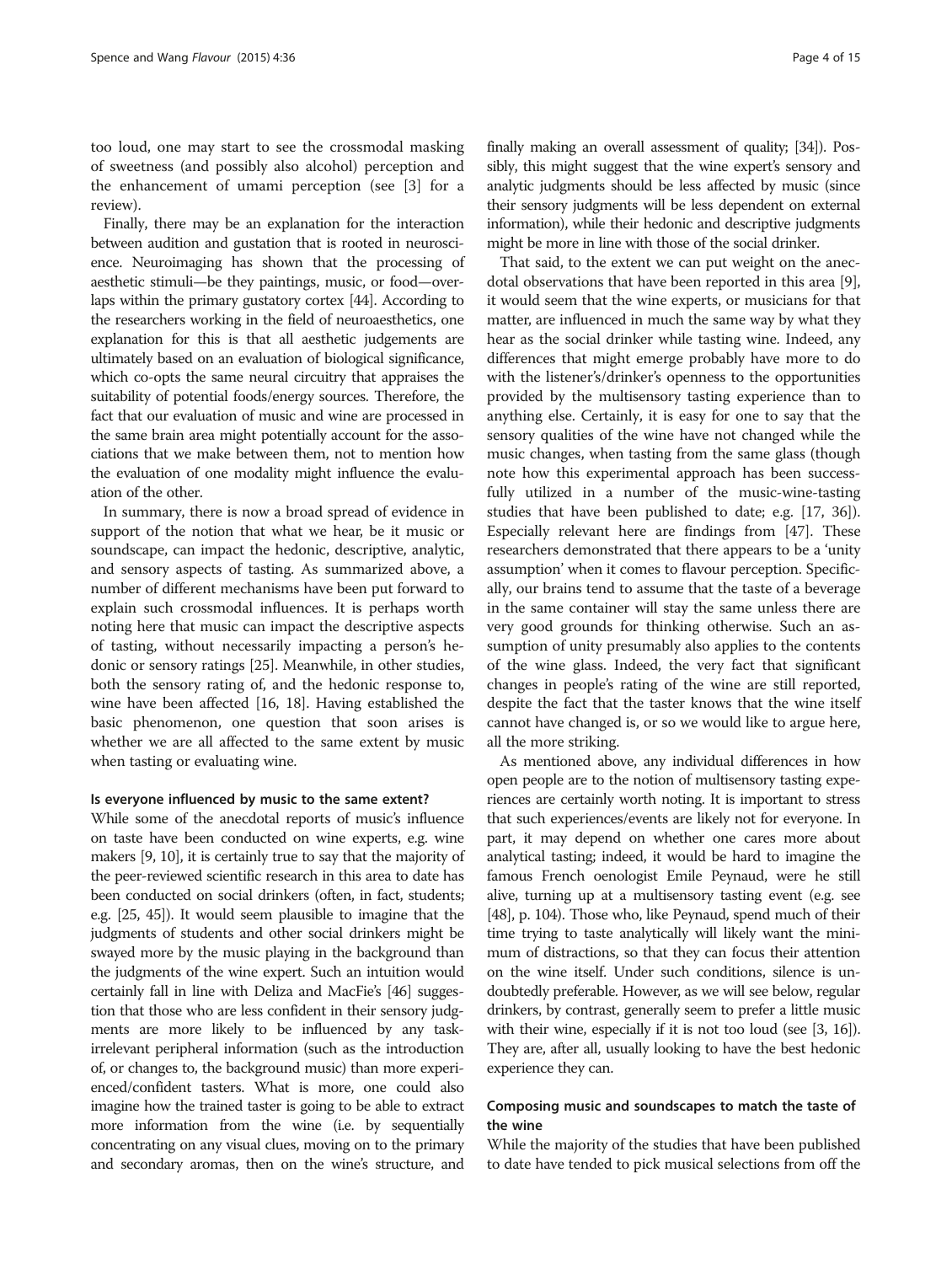too loud, one may start to see the crossmodal masking of sweetness (and possibly also alcohol) perception and the enhancement of umami perception (see [[3\]](#page-11-0) for a review).

Finally, there may be an explanation for the interaction between audition and gustation that is rooted in neuroscience. Neuroimaging has shown that the processing of aesthetic stimuli—be they paintings, music, or food—overlaps within the primary gustatory cortex [\[44\]](#page-12-0). According to the researchers working in the field of neuroaesthetics, one explanation for this is that all aesthetic judgements are ultimately based on an evaluation of biological significance, which co-opts the same neural circuitry that appraises the suitability of potential foods/energy sources. Therefore, the fact that our evaluation of music and wine are processed in the same brain area might potentially account for the associations that we make between them, not to mention how the evaluation of one modality might influence the evaluation of the other.

In summary, there is now a broad spread of evidence in support of the notion that what we hear, be it music or soundscape, can impact the hedonic, descriptive, analytic, and sensory aspects of tasting. As summarized above, a number of different mechanisms have been put forward to explain such crossmodal influences. It is perhaps worth noting here that music can impact the descriptive aspects of tasting, without necessarily impacting a person's hedonic or sensory ratings [\[25\]](#page-12-0). Meanwhile, in other studies, both the sensory rating of, and the hedonic response to, wine have been affected [\[16, 18](#page-12-0)]. Having established the basic phenomenon, one question that soon arises is whether we are all affected to the same extent by music when tasting or evaluating wine.

#### Is everyone influenced by music to the same extent?

While some of the anecdotal reports of music's influence on taste have been conducted on wine experts, e.g. wine makers [[9](#page-12-0), [10\]](#page-12-0), it is certainly true to say that the majority of the peer-reviewed scientific research in this area to date has been conducted on social drinkers (often, in fact, students; e.g. [\[25, 45\]](#page-12-0)). It would seem plausible to imagine that the judgments of students and other social drinkers might be swayed more by the music playing in the background than the judgments of the wine expert. Such an intuition would certainly fall in line with Deliza and MacFie's [\[46\]](#page-12-0) suggestion that those who are less confident in their sensory judgments are more likely to be influenced by any taskirrelevant peripheral information (such as the introduction of, or changes to, the background music) than more experienced/confident tasters. What is more, one could also imagine how the trained taster is going to be able to extract more information from the wine (i.e. by sequentially concentrating on any visual clues, moving on to the primary and secondary aromas, then on the wine's structure, and finally making an overall assessment of quality; [\[34](#page-12-0)]). Possibly, this might suggest that the wine expert's sensory and analytic judgments should be less affected by music (since their sensory judgments will be less dependent on external information), while their hedonic and descriptive judgments might be more in line with those of the social drinker.

That said, to the extent we can put weight on the anecdotal observations that have been reported in this area [[9](#page-12-0)], it would seem that the wine experts, or musicians for that matter, are influenced in much the same way by what they hear as the social drinker while tasting wine. Indeed, any differences that might emerge probably have more to do with the listener's/drinker's openness to the opportunities provided by the multisensory tasting experience than to anything else. Certainly, it is easy for one to say that the sensory qualities of the wine have not changed while the music changes, when tasting from the same glass (though note how this experimental approach has been successfully utilized in a number of the music-wine-tasting studies that have been published to date; e.g. [\[17, 36](#page-12-0)]). Especially relevant here are findings from [\[47\]](#page-12-0). These researchers demonstrated that there appears to be a 'unity assumption' when it comes to flavour perception. Specifically, our brains tend to assume that the taste of a beverage in the same container will stay the same unless there are very good grounds for thinking otherwise. Such an assumption of unity presumably also applies to the contents of the wine glass. Indeed, the very fact that significant changes in people's rating of the wine are still reported, despite the fact that the taster knows that the wine itself cannot have changed is, or so we would like to argue here, all the more striking.

As mentioned above, any individual differences in how open people are to the notion of multisensory tasting experiences are certainly worth noting. It is important to stress that such experiences/events are likely not for everyone. In part, it may depend on whether one cares more about analytical tasting; indeed, it would be hard to imagine the famous French oenologist Emile Peynaud, were he still alive, turning up at a multisensory tasting event (e.g. see [[48](#page-12-0)], p. 104). Those who, like Peynaud, spend much of their time trying to taste analytically will likely want the minimum of distractions, so that they can focus their attention on the wine itself. Under such conditions, silence is undoubtedly preferable. However, as we will see below, regular drinkers, by contrast, generally seem to prefer a little music with their wine, especially if it is not too loud (see [\[3,](#page-11-0) [16](#page-12-0)]). They are, after all, usually looking to have the best hedonic experience they can.

# Composing music and soundscapes to match the taste of the wine

While the majority of the studies that have been published to date have tended to pick musical selections from off the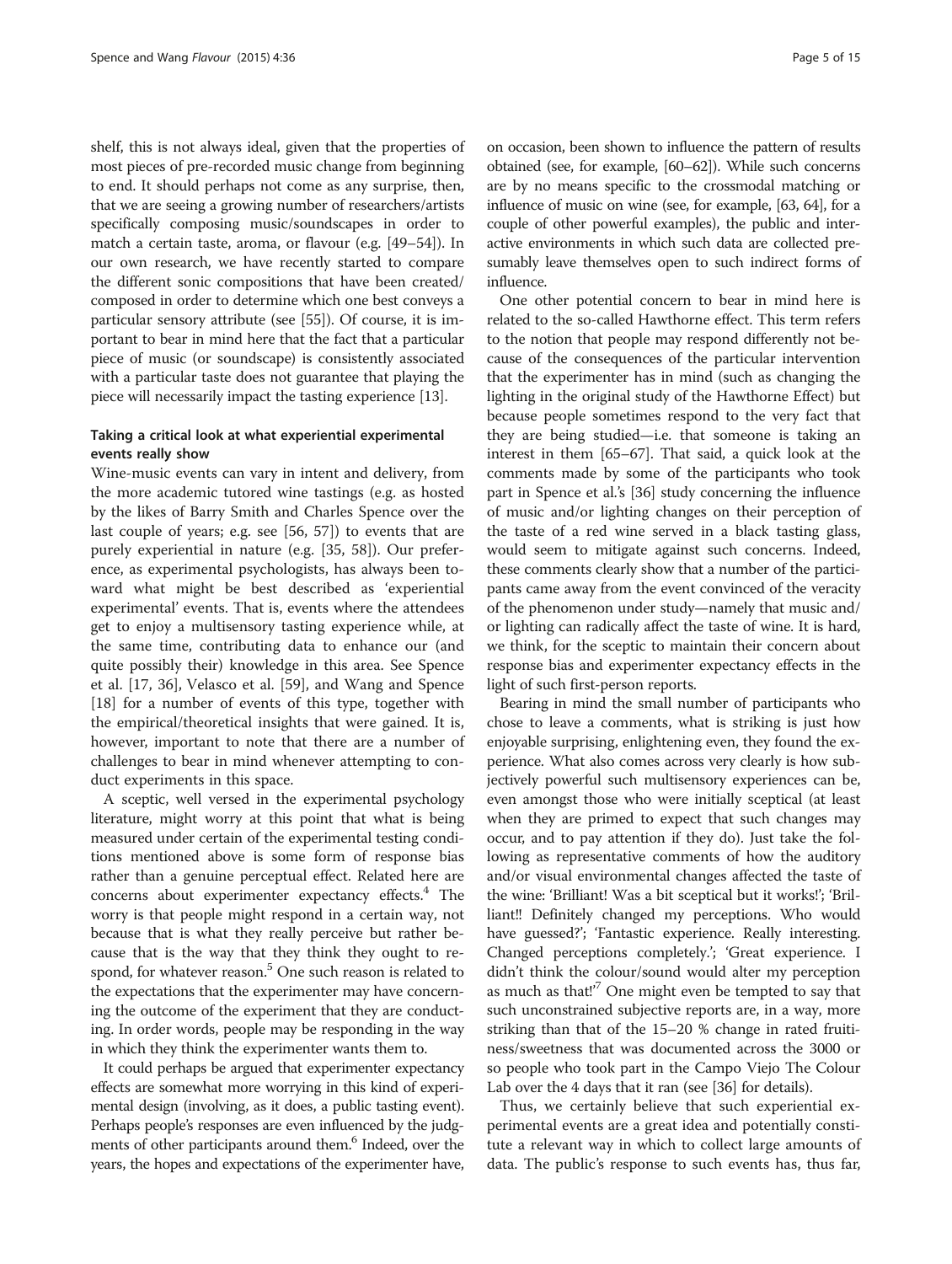shelf, this is not always ideal, given that the properties of most pieces of pre-recorded music change from beginning to end. It should perhaps not come as any surprise, then, that we are seeing a growing number of researchers/artists specifically composing music/soundscapes in order to match a certain taste, aroma, or flavour (e.g. [\[49](#page-12-0)–[54](#page-12-0)]). In our own research, we have recently started to compare the different sonic compositions that have been created/ composed in order to determine which one best conveys a particular sensory attribute (see [\[55](#page-12-0)]). Of course, it is important to bear in mind here that the fact that a particular piece of music (or soundscape) is consistently associated with a particular taste does not guarantee that playing the piece will necessarily impact the tasting experience [\[13](#page-12-0)].

# Taking a critical look at what experiential experimental events really show

Wine-music events can vary in intent and delivery, from the more academic tutored wine tastings (e.g. as hosted by the likes of Barry Smith and Charles Spence over the last couple of years; e.g. see [[56](#page-12-0), [57](#page-12-0)]) to events that are purely experiential in nature (e.g. [[35, 58\]](#page-12-0)). Our preference, as experimental psychologists, has always been toward what might be best described as 'experiential experimental' events. That is, events where the attendees get to enjoy a multisensory tasting experience while, at the same time, contributing data to enhance our (and quite possibly their) knowledge in this area. See Spence et al. [\[17](#page-12-0), [36\]](#page-12-0), Velasco et al. [\[59](#page-13-0)], and Wang and Spence [[18\]](#page-12-0) for a number of events of this type, together with the empirical/theoretical insights that were gained. It is, however, important to note that there are a number of challenges to bear in mind whenever attempting to conduct experiments in this space.

A sceptic, well versed in the experimental psychology literature, might worry at this point that what is being measured under certain of the experimental testing conditions mentioned above is some form of response bias rather than a genuine perceptual effect. Related here are concerns about experimenter expectancy effects.4 The worry is that people might respond in a certain way, not because that is what they really perceive but rather because that is the way that they think they ought to respond, for whatever reason.<sup>5</sup> One such reason is related to the expectations that the experimenter may have concerning the outcome of the experiment that they are conducting. In order words, people may be responding in the way in which they think the experimenter wants them to.

It could perhaps be argued that experimenter expectancy effects are somewhat more worrying in this kind of experimental design (involving, as it does, a public tasting event). Perhaps people's responses are even influenced by the judgments of other participants around them.<sup>6</sup> Indeed, over the years, the hopes and expectations of the experimenter have, on occasion, been shown to influence the pattern of results obtained (see, for example, [\[60](#page-13-0)–[62\]](#page-13-0)). While such concerns are by no means specific to the crossmodal matching or influence of music on wine (see, for example, [[63](#page-13-0), [64](#page-13-0)], for a couple of other powerful examples), the public and interactive environments in which such data are collected presumably leave themselves open to such indirect forms of influence.

One other potential concern to bear in mind here is related to the so-called Hawthorne effect. This term refers to the notion that people may respond differently not because of the consequences of the particular intervention that the experimenter has in mind (such as changing the lighting in the original study of the Hawthorne Effect) but because people sometimes respond to the very fact that they are being studied—i.e. that someone is taking an interest in them [[65](#page-13-0)–[67\]](#page-13-0). That said, a quick look at the comments made by some of the participants who took part in Spence et al.'s [[36](#page-12-0)] study concerning the influence of music and/or lighting changes on their perception of the taste of a red wine served in a black tasting glass, would seem to mitigate against such concerns. Indeed, these comments clearly show that a number of the participants came away from the event convinced of the veracity of the phenomenon under study—namely that music and/ or lighting can radically affect the taste of wine. It is hard, we think, for the sceptic to maintain their concern about response bias and experimenter expectancy effects in the light of such first-person reports.

Bearing in mind the small number of participants who chose to leave a comments, what is striking is just how enjoyable surprising, enlightening even, they found the experience. What also comes across very clearly is how subjectively powerful such multisensory experiences can be, even amongst those who were initially sceptical (at least when they are primed to expect that such changes may occur, and to pay attention if they do). Just take the following as representative comments of how the auditory and/or visual environmental changes affected the taste of the wine: 'Brilliant! Was a bit sceptical but it works!'; 'Brilliant!! Definitely changed my perceptions. Who would have guessed?'; 'Fantastic experience. Really interesting. Changed perceptions completely.'; 'Great experience. I didn't think the colour/sound would alter my perception as much as that!" One might even be tempted to say that such unconstrained subjective reports are, in a way, more striking than that of the 15–20 % change in rated fruitiness/sweetness that was documented across the 3000 or so people who took part in the Campo Viejo The Colour Lab over the 4 days that it ran (see [[36](#page-12-0)] for details).

Thus, we certainly believe that such experiential experimental events are a great idea and potentially constitute a relevant way in which to collect large amounts of data. The public's response to such events has, thus far,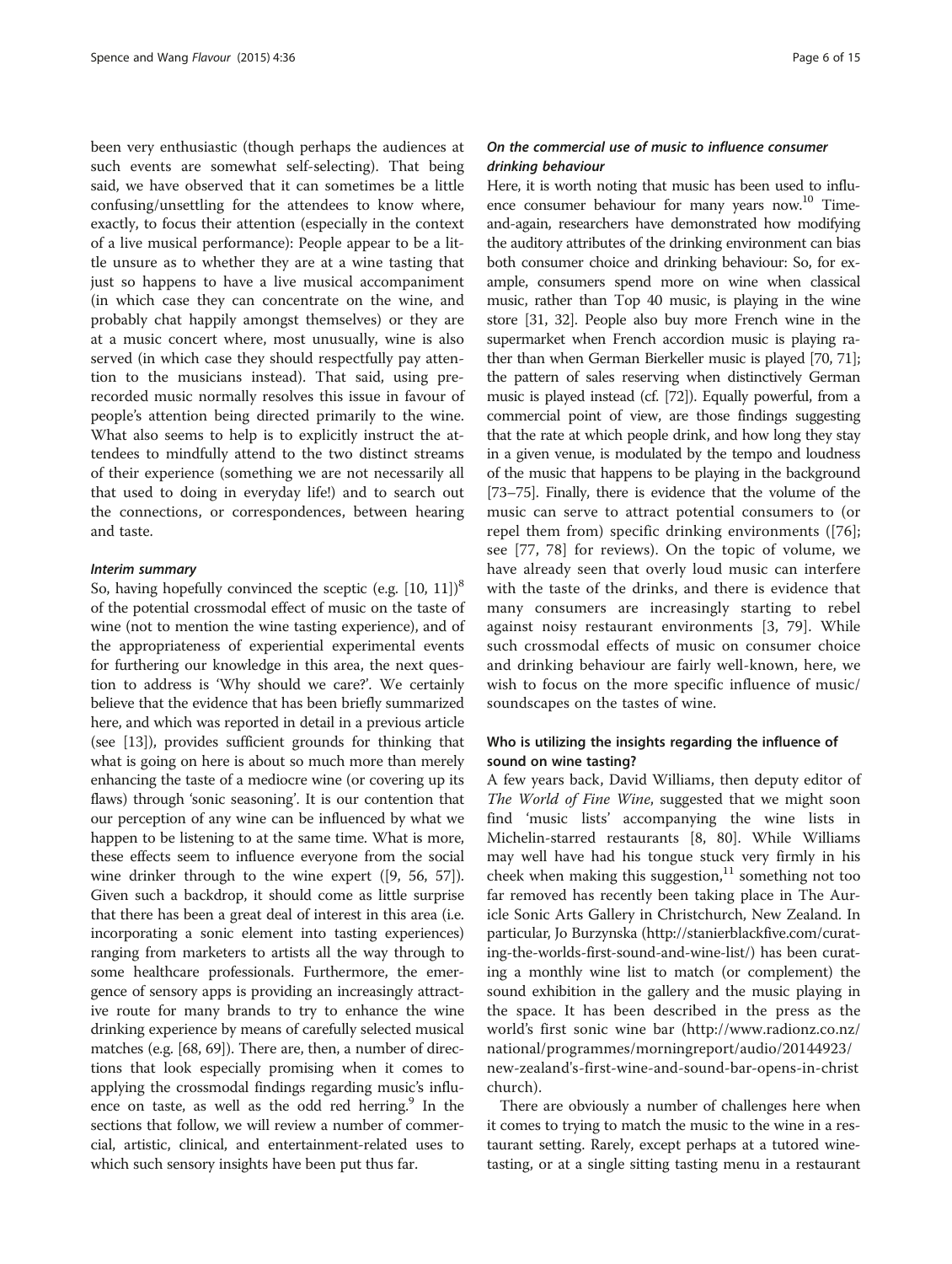been very enthusiastic (though perhaps the audiences at such events are somewhat self-selecting). That being said, we have observed that it can sometimes be a little confusing/unsettling for the attendees to know where, exactly, to focus their attention (especially in the context of a live musical performance): People appear to be a little unsure as to whether they are at a wine tasting that just so happens to have a live musical accompaniment (in which case they can concentrate on the wine, and probably chat happily amongst themselves) or they are at a music concert where, most unusually, wine is also served (in which case they should respectfully pay attention to the musicians instead). That said, using prerecorded music normally resolves this issue in favour of people's attention being directed primarily to the wine. What also seems to help is to explicitly instruct the attendees to mindfully attend to the two distinct streams of their experience (something we are not necessarily all that used to doing in everyday life!) and to search out the connections, or correspondences, between hearing and taste.

#### Interim summary

So, having hopefully convinced the sceptic (e.g.  $[10, 11]$  $[10, 11]$  $[10, 11]$  $[10, 11]$ )<sup>8</sup> of the potential crossmodal effect of music on the taste of wine (not to mention the wine tasting experience), and of the appropriateness of experiential experimental events for furthering our knowledge in this area, the next question to address is 'Why should we care?'. We certainly believe that the evidence that has been briefly summarized here, and which was reported in detail in a previous article (see [\[13\]](#page-12-0)), provides sufficient grounds for thinking that what is going on here is about so much more than merely enhancing the taste of a mediocre wine (or covering up its flaws) through 'sonic seasoning'. It is our contention that our perception of any wine can be influenced by what we happen to be listening to at the same time. What is more, these effects seem to influence everyone from the social wine drinker through to the wine expert ([[9, 56](#page-12-0), [57](#page-12-0)]). Given such a backdrop, it should come as little surprise that there has been a great deal of interest in this area (i.e. incorporating a sonic element into tasting experiences) ranging from marketers to artists all the way through to some healthcare professionals. Furthermore, the emergence of sensory apps is providing an increasingly attractive route for many brands to try to enhance the wine drinking experience by means of carefully selected musical matches (e.g. [\[68, 69](#page-13-0)]). There are, then, a number of directions that look especially promising when it comes to applying the crossmodal findings regarding music's influence on taste, as well as the odd red herring. $9$  In the sections that follow, we will review a number of commercial, artistic, clinical, and entertainment-related uses to which such sensory insights have been put thus far.

# On the commercial use of music to influence consumer drinking behaviour

Here, it is worth noting that music has been used to influence consumer behaviour for many years now.<sup>10</sup> Timeand-again, researchers have demonstrated how modifying the auditory attributes of the drinking environment can bias both consumer choice and drinking behaviour: So, for example, consumers spend more on wine when classical music, rather than Top 40 music, is playing in the wine store [\[31, 32\]](#page-12-0). People also buy more French wine in the supermarket when French accordion music is playing rather than when German Bierkeller music is played [[70](#page-13-0), [71](#page-13-0)]; the pattern of sales reserving when distinctively German music is played instead (cf. [[72](#page-13-0)]). Equally powerful, from a commercial point of view, are those findings suggesting that the rate at which people drink, and how long they stay in a given venue, is modulated by the tempo and loudness of the music that happens to be playing in the background [[73](#page-13-0)–[75](#page-13-0)]. Finally, there is evidence that the volume of the music can serve to attract potential consumers to (or repel them from) specific drinking environments ([\[76](#page-13-0)]; see [\[77](#page-13-0), [78\]](#page-13-0) for reviews). On the topic of volume, we have already seen that overly loud music can interfere with the taste of the drinks, and there is evidence that many consumers are increasingly starting to rebel against noisy restaurant environments [[3,](#page-11-0) [79\]](#page-13-0). While such crossmodal effects of music on consumer choice and drinking behaviour are fairly well-known, here, we wish to focus on the more specific influence of music/ soundscapes on the tastes of wine.

# Who is utilizing the insights regarding the influence of sound on wine tasting?

A few years back, David Williams, then deputy editor of The World of Fine Wine, suggested that we might soon find 'music lists' accompanying the wine lists in Michelin-starred restaurants [[8,](#page-12-0) [80\]](#page-13-0). While Williams may well have had his tongue stuck very firmly in his cheek when making this suggestion, $11$  something not too far removed has recently been taking place in The Auricle Sonic Arts Gallery in Christchurch, New Zealand. In particular, Jo Burzynska ([http://stanierblackfive.com/curat](http://stanierblackfive.com/curating-the-worlds-first-sound-and-wine-list/)[ing-the-worlds-first-sound-and-wine-list/\)](http://stanierblackfive.com/curating-the-worlds-first-sound-and-wine-list/) has been curating a monthly wine list to match (or complement) the sound exhibition in the gallery and the music playing in the space. It has been described in the press as the world's first sonic wine bar ([http://www.radionz.co.nz/](http://www.radionz.co.nz/national/programmes/morningreport/audio/20144923/new-zealand) [national/programmes/morningreport/audio/20144923/](http://www.radionz.co.nz/national/programmes/morningreport/audio/20144923/new-zealand) [new-zealand's-first-wine-and-sound-bar-opens-in-christ](http://www.radionz.co.nz/national/programmes/morningreport/audio/20144923/new-zealand) [church\)](http://www.radionz.co.nz/national/programmes/morningreport/audio/20144923/new-zealand).

There are obviously a number of challenges here when it comes to trying to match the music to the wine in a restaurant setting. Rarely, except perhaps at a tutored winetasting, or at a single sitting tasting menu in a restaurant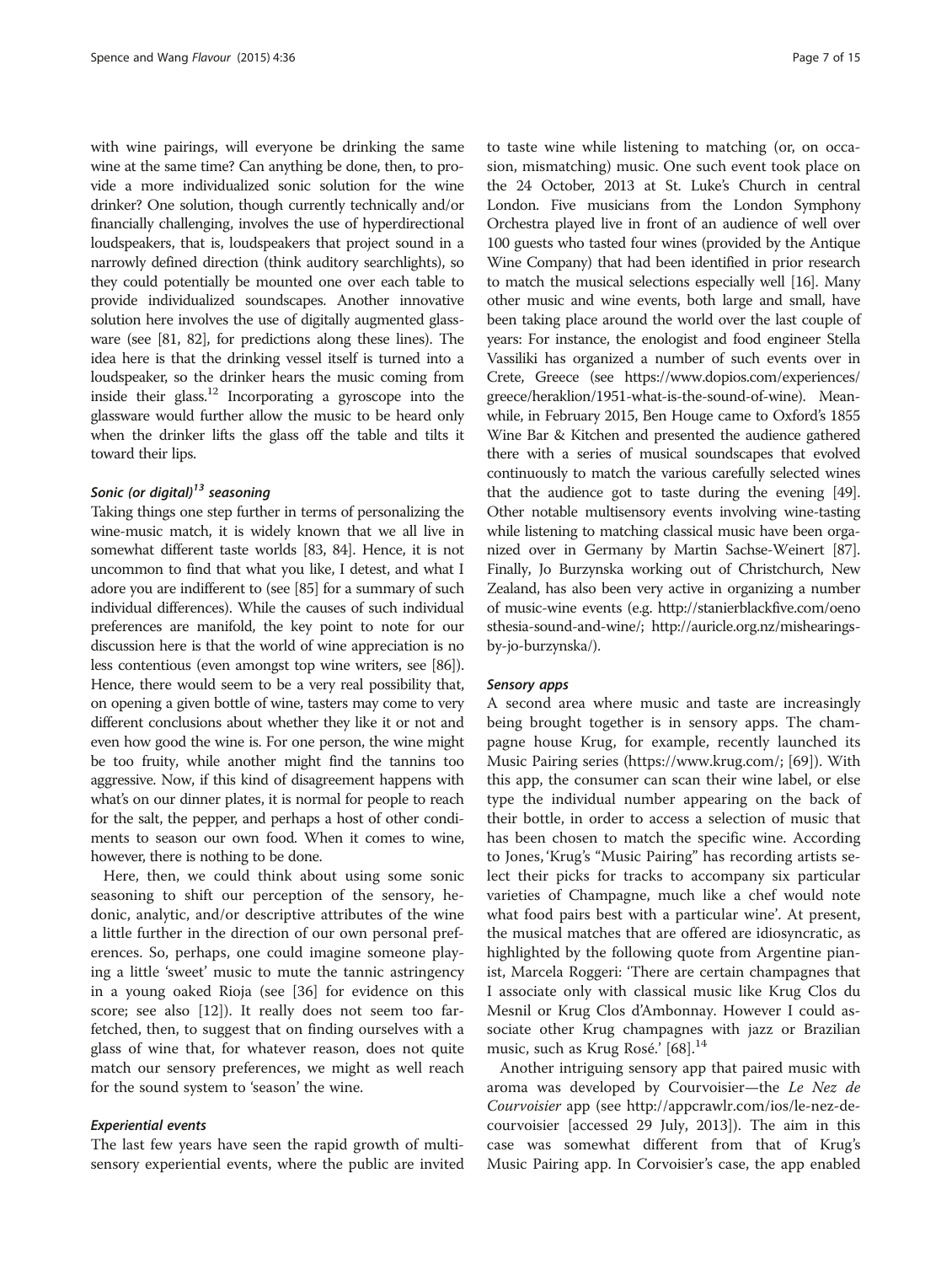with wine pairings, will everyone be drinking the same wine at the same time? Can anything be done, then, to provide a more individualized sonic solution for the wine drinker? One solution, though currently technically and/or financially challenging, involves the use of hyperdirectional loudspeakers, that is, loudspeakers that project sound in a narrowly defined direction (think auditory searchlights), so they could potentially be mounted one over each table to provide individualized soundscapes. Another innovative solution here involves the use of digitally augmented glassware (see [\[81, 82](#page-13-0)], for predictions along these lines). The idea here is that the drinking vessel itself is turned into a loudspeaker, so the drinker hears the music coming from inside their glass.12 Incorporating a gyroscope into the glassware would further allow the music to be heard only when the drinker lifts the glass off the table and tilts it toward their lips.

# Sonic (or digital) $13$  seasoning

Taking things one step further in terms of personalizing the wine-music match, it is widely known that we all live in somewhat different taste worlds [[83](#page-13-0), [84\]](#page-13-0). Hence, it is not uncommon to find that what you like, I detest, and what I adore you are indifferent to (see [\[85](#page-13-0)] for a summary of such individual differences). While the causes of such individual preferences are manifold, the key point to note for our discussion here is that the world of wine appreciation is no less contentious (even amongst top wine writers, see [\[86](#page-13-0)]). Hence, there would seem to be a very real possibility that, on opening a given bottle of wine, tasters may come to very different conclusions about whether they like it or not and even how good the wine is. For one person, the wine might be too fruity, while another might find the tannins too aggressive. Now, if this kind of disagreement happens with what's on our dinner plates, it is normal for people to reach for the salt, the pepper, and perhaps a host of other condiments to season our own food. When it comes to wine, however, there is nothing to be done.

Here, then, we could think about using some sonic seasoning to shift our perception of the sensory, hedonic, analytic, and/or descriptive attributes of the wine a little further in the direction of our own personal preferences. So, perhaps, one could imagine someone playing a little 'sweet' music to mute the tannic astringency in a young oaked Rioja (see [\[36\]](#page-12-0) for evidence on this score; see also [\[12\]](#page-12-0)). It really does not seem too farfetched, then, to suggest that on finding ourselves with a glass of wine that, for whatever reason, does not quite match our sensory preferences, we might as well reach for the sound system to 'season' the wine.

#### Experiential events

The last few years have seen the rapid growth of multisensory experiential events, where the public are invited

to taste wine while listening to matching (or, on occasion, mismatching) music. One such event took place on the 24 October, 2013 at St. Luke's Church in central London. Five musicians from the London Symphony Orchestra played live in front of an audience of well over 100 guests who tasted four wines (provided by the Antique Wine Company) that had been identified in prior research to match the musical selections especially well [[16](#page-12-0)]. Many other music and wine events, both large and small, have been taking place around the world over the last couple of years: For instance, the enologist and food engineer Stella Vassiliki has organized a number of such events over in Crete, Greece (see [https://www.dopios.com/experiences/](https://www.dopios.com/experiences/greece/heraklion/1951-what-is-the-sound-of-wine) [greece/heraklion/1951-what-is-the-sound-of-wine](https://www.dopios.com/experiences/greece/heraklion/1951-what-is-the-sound-of-wine)). Meanwhile, in February 2015, Ben Houge came to Oxford's 1855 Wine Bar & Kitchen and presented the audience gathered there with a series of musical soundscapes that evolved continuously to match the various carefully selected wines that the audience got to taste during the evening [\[49](#page-12-0)]. Other notable multisensory events involving wine-tasting while listening to matching classical music have been organized over in Germany by Martin Sachse-Weinert [\[87](#page-13-0)]. Finally, Jo Burzynska working out of Christchurch, New Zealand, has also been very active in organizing a number of music-wine events (e.g. [http://stanierblackfive.com/oeno](http://stanierblackfive.com/oenosthesia-sound-and-wine/) [sthesia-sound-and-wine/](http://stanierblackfive.com/oenosthesia-sound-and-wine/); [http://auricle.org.nz/mishearings](http://auricle.org.nz/mishearings-by-jo-burzynska/)[by-jo-burzynska/\)](http://auricle.org.nz/mishearings-by-jo-burzynska/).

#### Sensory apps

A second area where music and taste are increasingly being brought together is in sensory apps. The champagne house Krug, for example, recently launched its Music Pairing series [\(https://www.krug.com/](https://www.krug.com/); [\[69](#page-13-0)]). With this app, the consumer can scan their wine label, or else type the individual number appearing on the back of their bottle, in order to access a selection of music that has been chosen to match the specific wine. According to Jones, 'Krug's "Music Pairing" has recording artists select their picks for tracks to accompany six particular varieties of Champagne, much like a chef would note what food pairs best with a particular wine'. At present, the musical matches that are offered are idiosyncratic, as highlighted by the following quote from Argentine pianist, Marcela Roggeri: 'There are certain champagnes that I associate only with classical music like Krug Clos du Mesnil or Krug Clos d'Ambonnay. However I could associate other Krug champagnes with jazz or Brazilian music, such as Krug Rosé.' [[68\]](#page-13-0).<sup>14</sup>

Another intriguing sensory app that paired music with aroma was developed by Courvoisier—the Le Nez de Courvoisier app (see [http://appcrawlr.com/ios/le-nez-de](http://appcrawlr.com/ios/le-nez-de-courvoisier)[courvoisier](http://appcrawlr.com/ios/le-nez-de-courvoisier) [accessed 29 July, 2013]). The aim in this case was somewhat different from that of Krug's Music Pairing app. In Corvoisier's case, the app enabled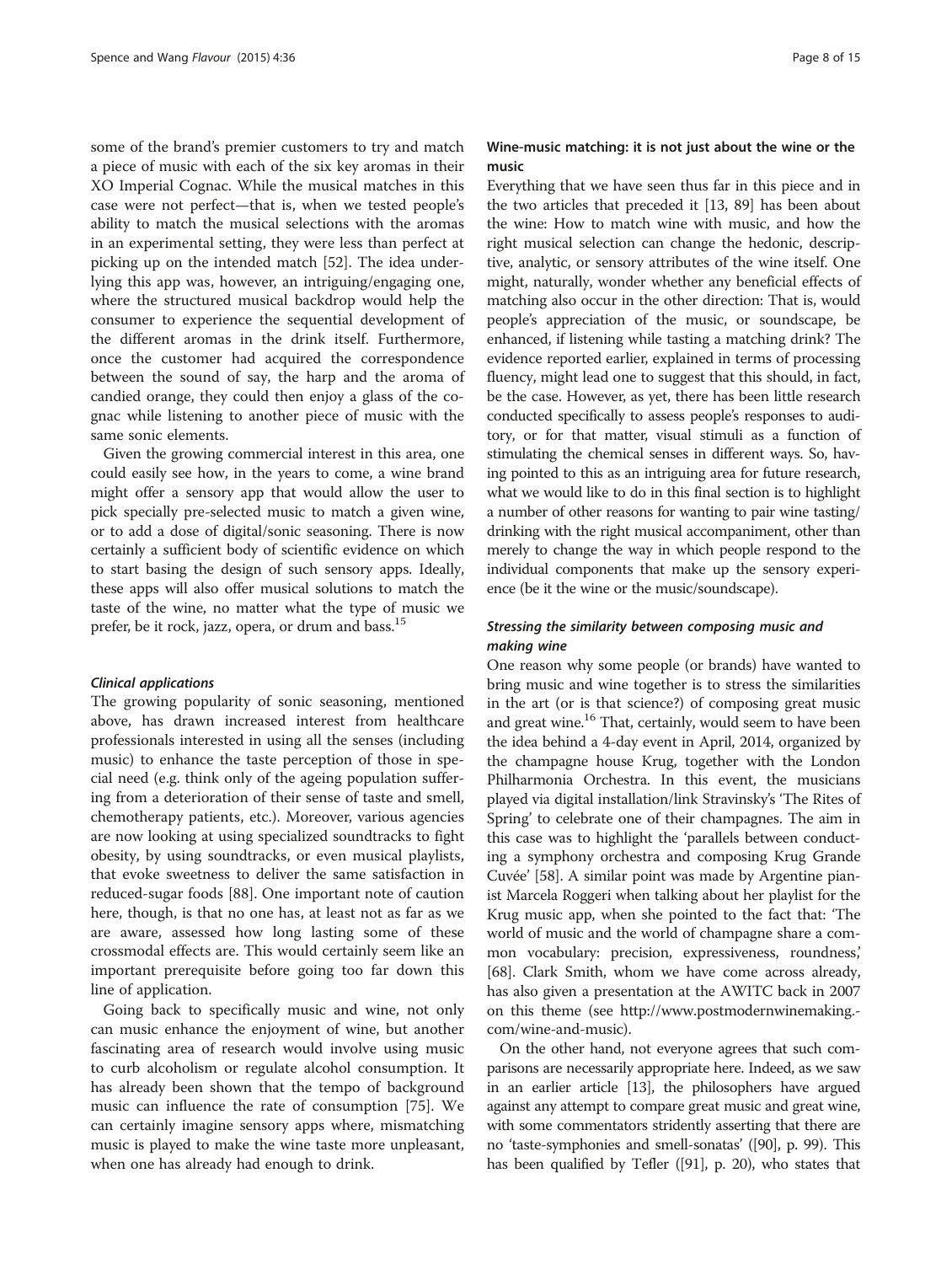some of the brand's premier customers to try and match a piece of music with each of the six key aromas in their XO Imperial Cognac. While the musical matches in this case were not perfect—that is, when we tested people's ability to match the musical selections with the aromas in an experimental setting, they were less than perfect at picking up on the intended match [\[52\]](#page-12-0). The idea underlying this app was, however, an intriguing/engaging one, where the structured musical backdrop would help the consumer to experience the sequential development of the different aromas in the drink itself. Furthermore, once the customer had acquired the correspondence between the sound of say, the harp and the aroma of candied orange, they could then enjoy a glass of the cognac while listening to another piece of music with the same sonic elements.

Given the growing commercial interest in this area, one could easily see how, in the years to come, a wine brand might offer a sensory app that would allow the user to pick specially pre-selected music to match a given wine, or to add a dose of digital/sonic seasoning. There is now certainly a sufficient body of scientific evidence on which to start basing the design of such sensory apps. Ideally, these apps will also offer musical solutions to match the taste of the wine, no matter what the type of music we prefer, be it rock, jazz, opera, or drum and bass.<sup>15</sup>

#### Clinical applications

The growing popularity of sonic seasoning, mentioned above, has drawn increased interest from healthcare professionals interested in using all the senses (including music) to enhance the taste perception of those in special need (e.g. think only of the ageing population suffering from a deterioration of their sense of taste and smell, chemotherapy patients, etc.). Moreover, various agencies are now looking at using specialized soundtracks to fight obesity, by using soundtracks, or even musical playlists, that evoke sweetness to deliver the same satisfaction in reduced-sugar foods [[88\]](#page-13-0). One important note of caution here, though, is that no one has, at least not as far as we are aware, assessed how long lasting some of these crossmodal effects are. This would certainly seem like an important prerequisite before going too far down this line of application.

Going back to specifically music and wine, not only can music enhance the enjoyment of wine, but another fascinating area of research would involve using music to curb alcoholism or regulate alcohol consumption. It has already been shown that the tempo of background music can influence the rate of consumption [[75\]](#page-13-0). We can certainly imagine sensory apps where, mismatching music is played to make the wine taste more unpleasant, when one has already had enough to drink.

# Wine-music matching: it is not just about the wine or the music

Everything that we have seen thus far in this piece and in the two articles that preceded it [[13,](#page-12-0) [89](#page-13-0)] has been about the wine: How to match wine with music, and how the right musical selection can change the hedonic, descriptive, analytic, or sensory attributes of the wine itself. One might, naturally, wonder whether any beneficial effects of matching also occur in the other direction: That is, would people's appreciation of the music, or soundscape, be enhanced, if listening while tasting a matching drink? The evidence reported earlier, explained in terms of processing fluency, might lead one to suggest that this should, in fact, be the case. However, as yet, there has been little research conducted specifically to assess people's responses to auditory, or for that matter, visual stimuli as a function of stimulating the chemical senses in different ways. So, having pointed to this as an intriguing area for future research, what we would like to do in this final section is to highlight a number of other reasons for wanting to pair wine tasting/ drinking with the right musical accompaniment, other than merely to change the way in which people respond to the individual components that make up the sensory experience (be it the wine or the music/soundscape).

# Stressing the similarity between composing music and making wine

One reason why some people (or brands) have wanted to bring music and wine together is to stress the similarities in the art (or is that science?) of composing great music and great wine.<sup>16</sup> That, certainly, would seem to have been the idea behind a 4-day event in April, 2014, organized by the champagne house Krug, together with the London Philharmonia Orchestra. In this event, the musicians played via digital installation/link Stravinsky's 'The Rites of Spring' to celebrate one of their champagnes. The aim in this case was to highlight the 'parallels between conducting a symphony orchestra and composing Krug Grande Cuvée' [[58](#page-12-0)]. A similar point was made by Argentine pianist Marcela Roggeri when talking about her playlist for the Krug music app, when she pointed to the fact that: 'The world of music and the world of champagne share a common vocabulary: precision, expressiveness, roundness,' [[68](#page-13-0)]. Clark Smith, whom we have come across already, has also given a presentation at the AWITC back in 2007 on this theme (see [http://www.postmodernwinemaking.](http://www.postmodernwinemaking.com/wine-and-music) [com/wine-and-music\)](http://www.postmodernwinemaking.com/wine-and-music).

On the other hand, not everyone agrees that such comparisons are necessarily appropriate here. Indeed, as we saw in an earlier article [\[13\]](#page-12-0), the philosophers have argued against any attempt to compare great music and great wine, with some commentators stridently asserting that there are no 'taste-symphonies and smell-sonatas' ([\[90\]](#page-13-0), p. 99). This has been qualified by Tefler ([[91](#page-13-0)], p. 20), who states that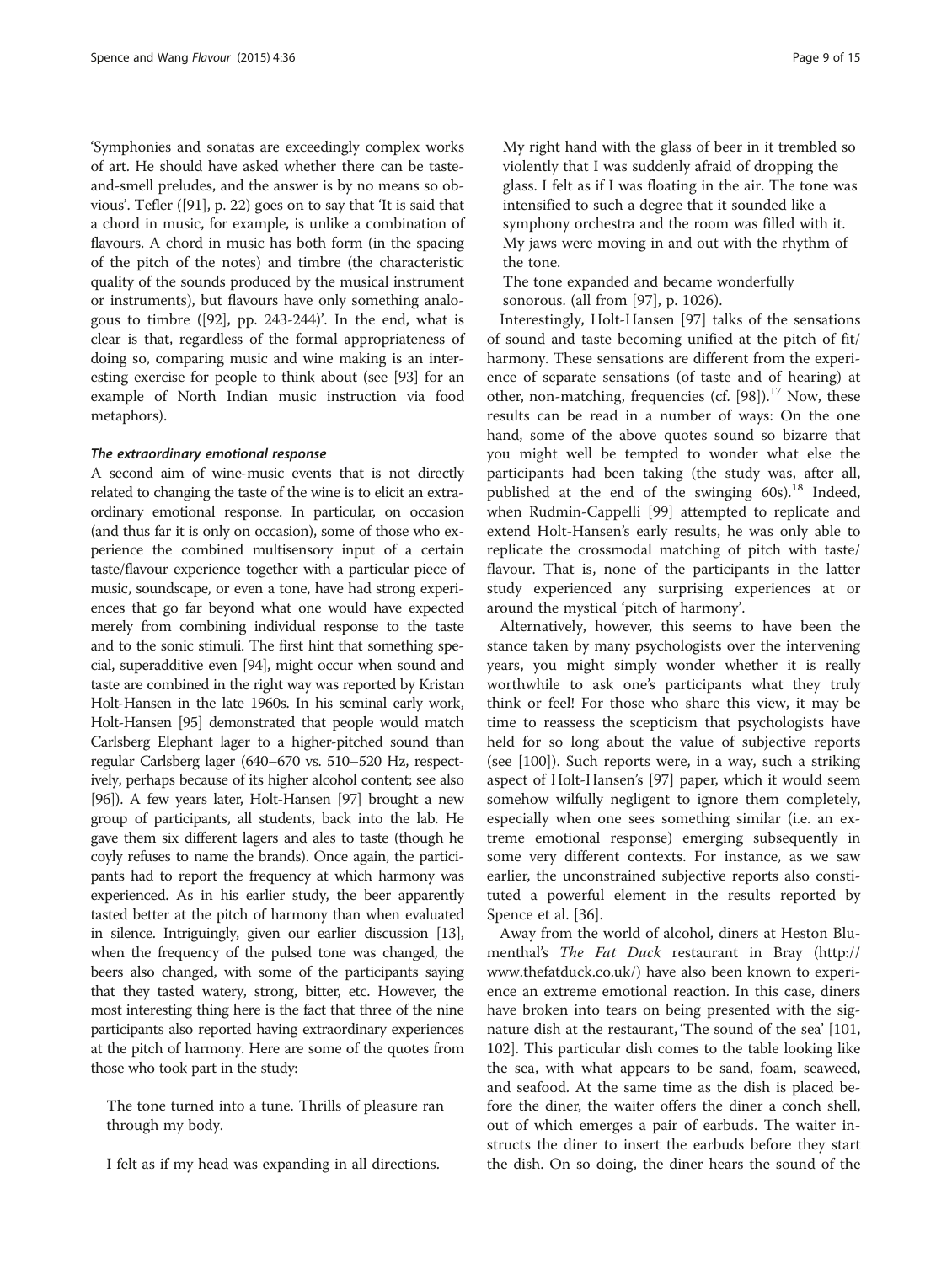'Symphonies and sonatas are exceedingly complex works of art. He should have asked whether there can be tasteand-smell preludes, and the answer is by no means so obvious'. Tefler ([[91](#page-13-0)], p. 22) goes on to say that 'It is said that a chord in music, for example, is unlike a combination of flavours. A chord in music has both form (in the spacing of the pitch of the notes) and timbre (the characteristic quality of the sounds produced by the musical instrument or instruments), but flavours have only something analogous to timbre ([\[92](#page-13-0)], pp. 243-244)'. In the end, what is clear is that, regardless of the formal appropriateness of doing so, comparing music and wine making is an interesting exercise for people to think about (see [\[93\]](#page-13-0) for an example of North Indian music instruction via food metaphors).

#### The extraordinary emotional response

A second aim of wine-music events that is not directly related to changing the taste of the wine is to elicit an extraordinary emotional response. In particular, on occasion (and thus far it is only on occasion), some of those who experience the combined multisensory input of a certain taste/flavour experience together with a particular piece of music, soundscape, or even a tone, have had strong experiences that go far beyond what one would have expected merely from combining individual response to the taste and to the sonic stimuli. The first hint that something special, superadditive even [\[94](#page-13-0)], might occur when sound and taste are combined in the right way was reported by Kristan Holt-Hansen in the late 1960s. In his seminal early work, Holt-Hansen [\[95\]](#page-13-0) demonstrated that people would match Carlsberg Elephant lager to a higher-pitched sound than regular Carlsberg lager (640–670 vs. 510–520 Hz, respectively, perhaps because of its higher alcohol content; see also [[96](#page-13-0)]). A few years later, Holt-Hansen [\[97\]](#page-13-0) brought a new group of participants, all students, back into the lab. He gave them six different lagers and ales to taste (though he coyly refuses to name the brands). Once again, the participants had to report the frequency at which harmony was experienced. As in his earlier study, the beer apparently tasted better at the pitch of harmony than when evaluated in silence. Intriguingly, given our earlier discussion [\[13](#page-12-0)], when the frequency of the pulsed tone was changed, the beers also changed, with some of the participants saying that they tasted watery, strong, bitter, etc. However, the most interesting thing here is the fact that three of the nine participants also reported having extraordinary experiences at the pitch of harmony. Here are some of the quotes from those who took part in the study:

The tone turned into a tune. Thrills of pleasure ran through my body.

I felt as if my head was expanding in all directions.

My right hand with the glass of beer in it trembled so violently that I was suddenly afraid of dropping the glass. I felt as if I was floating in the air. The tone was intensified to such a degree that it sounded like a symphony orchestra and the room was filled with it. My jaws were moving in and out with the rhythm of the tone.

The tone expanded and became wonderfully sonorous. (all from [[97\]](#page-13-0), p. 1026).

Interestingly, Holt-Hansen [\[97\]](#page-13-0) talks of the sensations of sound and taste becoming unified at the pitch of fit/ harmony. These sensations are different from the experience of separate sensations (of taste and of hearing) at other, non-matching, frequencies (cf. [\[98](#page-13-0)]).<sup>17</sup> Now, these results can be read in a number of ways: On the one hand, some of the above quotes sound so bizarre that you might well be tempted to wonder what else the participants had been taking (the study was, after all, published at the end of the swinging  $60s$ <sup>18</sup> Indeed, when Rudmin-Cappelli [[99](#page-13-0)] attempted to replicate and extend Holt-Hansen's early results, he was only able to replicate the crossmodal matching of pitch with taste/ flavour. That is, none of the participants in the latter study experienced any surprising experiences at or around the mystical 'pitch of harmony'.

Alternatively, however, this seems to have been the stance taken by many psychologists over the intervening years, you might simply wonder whether it is really worthwhile to ask one's participants what they truly think or feel! For those who share this view, it may be time to reassess the scepticism that psychologists have held for so long about the value of subjective reports (see [\[100](#page-13-0)]). Such reports were, in a way, such a striking aspect of Holt-Hansen's [\[97\]](#page-13-0) paper, which it would seem somehow wilfully negligent to ignore them completely, especially when one sees something similar (i.e. an extreme emotional response) emerging subsequently in some very different contexts. For instance, as we saw earlier, the unconstrained subjective reports also constituted a powerful element in the results reported by Spence et al. [\[36](#page-12-0)].

Away from the world of alcohol, diners at Heston Blumenthal's The Fat Duck restaurant in Bray [\(http://](http://www.thefatduck.co.uk/) [www.thefatduck.co.uk/](http://www.thefatduck.co.uk/)) have also been known to experience an extreme emotional reaction. In this case, diners have broken into tears on being presented with the signature dish at the restaurant, 'The sound of the sea' [[101](#page-13-0), [102](#page-13-0)]. This particular dish comes to the table looking like the sea, with what appears to be sand, foam, seaweed, and seafood. At the same time as the dish is placed before the diner, the waiter offers the diner a conch shell, out of which emerges a pair of earbuds. The waiter instructs the diner to insert the earbuds before they start the dish. On so doing, the diner hears the sound of the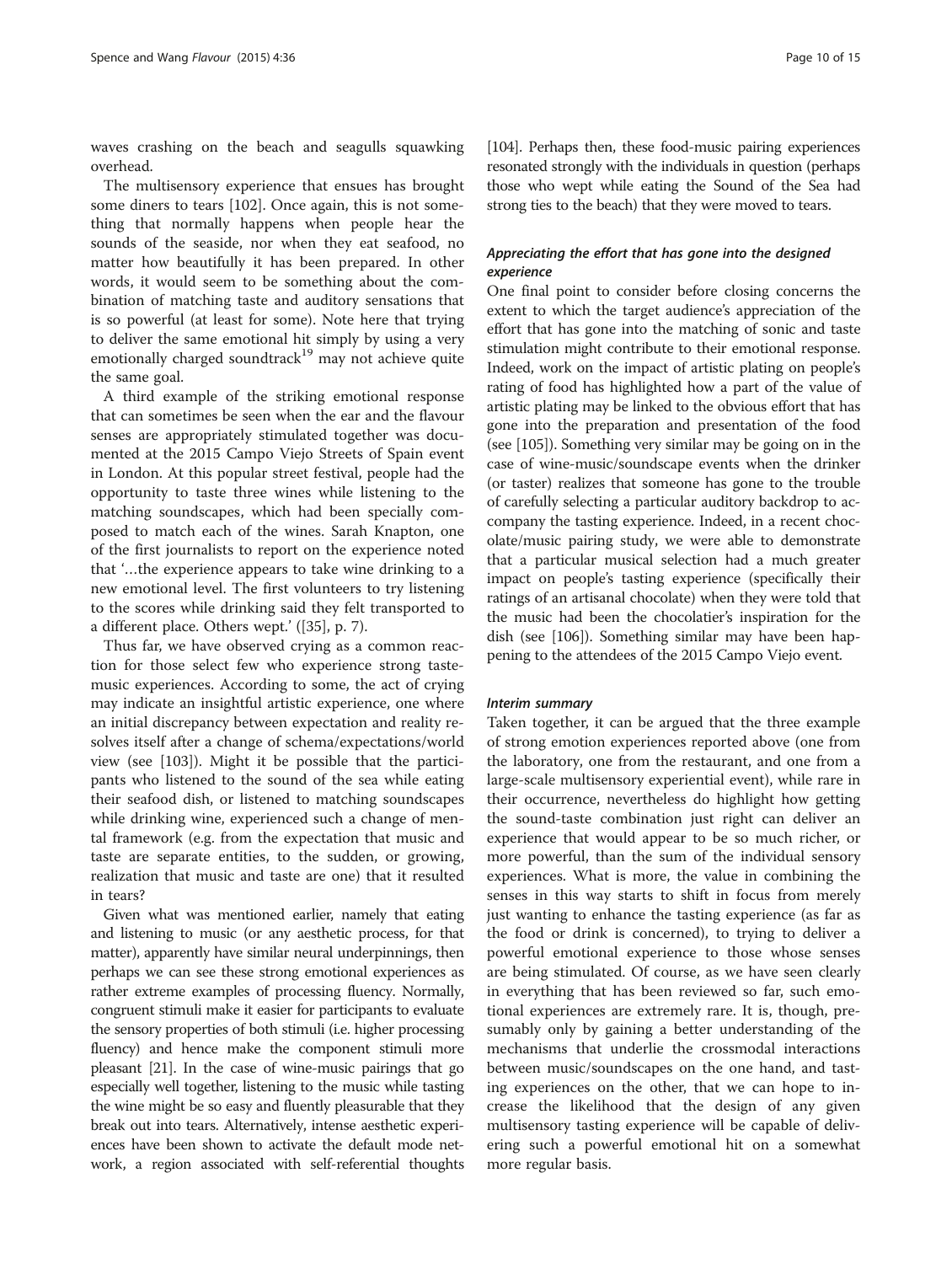waves crashing on the beach and seagulls squawking overhead.

The multisensory experience that ensues has brought some diners to tears [\[102](#page-13-0)]. Once again, this is not something that normally happens when people hear the sounds of the seaside, nor when they eat seafood, no matter how beautifully it has been prepared. In other words, it would seem to be something about the combination of matching taste and auditory sensations that is so powerful (at least for some). Note here that trying to deliver the same emotional hit simply by using a very emotionally charged soundtrack $19$  may not achieve quite the same goal.

A third example of the striking emotional response that can sometimes be seen when the ear and the flavour senses are appropriately stimulated together was documented at the 2015 Campo Viejo Streets of Spain event in London. At this popular street festival, people had the opportunity to taste three wines while listening to the matching soundscapes, which had been specially composed to match each of the wines. Sarah Knapton, one of the first journalists to report on the experience noted that '…the experience appears to take wine drinking to a new emotional level. The first volunteers to try listening to the scores while drinking said they felt transported to a different place. Others wept.' ([[35](#page-12-0)], p. 7).

Thus far, we have observed crying as a common reaction for those select few who experience strong tastemusic experiences. According to some, the act of crying may indicate an insightful artistic experience, one where an initial discrepancy between expectation and reality resolves itself after a change of schema/expectations/world view (see [\[103](#page-13-0)]). Might it be possible that the participants who listened to the sound of the sea while eating their seafood dish, or listened to matching soundscapes while drinking wine, experienced such a change of mental framework (e.g. from the expectation that music and taste are separate entities, to the sudden, or growing, realization that music and taste are one) that it resulted in tears?

Given what was mentioned earlier, namely that eating and listening to music (or any aesthetic process, for that matter), apparently have similar neural underpinnings, then perhaps we can see these strong emotional experiences as rather extreme examples of processing fluency. Normally, congruent stimuli make it easier for participants to evaluate the sensory properties of both stimuli (i.e. higher processing fluency) and hence make the component stimuli more pleasant [\[21](#page-12-0)]. In the case of wine-music pairings that go especially well together, listening to the music while tasting the wine might be so easy and fluently pleasurable that they break out into tears. Alternatively, intense aesthetic experiences have been shown to activate the default mode network, a region associated with self-referential thoughts

[[104\]](#page-13-0). Perhaps then, these food-music pairing experiences resonated strongly with the individuals in question (perhaps those who wept while eating the Sound of the Sea had strong ties to the beach) that they were moved to tears.

# Appreciating the effort that has gone into the designed experience

One final point to consider before closing concerns the extent to which the target audience's appreciation of the effort that has gone into the matching of sonic and taste stimulation might contribute to their emotional response. Indeed, work on the impact of artistic plating on people's rating of food has highlighted how a part of the value of artistic plating may be linked to the obvious effort that has gone into the preparation and presentation of the food (see [[105](#page-13-0)]). Something very similar may be going on in the case of wine-music/soundscape events when the drinker (or taster) realizes that someone has gone to the trouble of carefully selecting a particular auditory backdrop to accompany the tasting experience. Indeed, in a recent chocolate/music pairing study, we were able to demonstrate that a particular musical selection had a much greater impact on people's tasting experience (specifically their ratings of an artisanal chocolate) when they were told that the music had been the chocolatier's inspiration for the dish (see [\[106\]](#page-13-0)). Something similar may have been happening to the attendees of the 2015 Campo Viejo event.

#### Interim summary

Taken together, it can be argued that the three example of strong emotion experiences reported above (one from the laboratory, one from the restaurant, and one from a large-scale multisensory experiential event), while rare in their occurrence, nevertheless do highlight how getting the sound-taste combination just right can deliver an experience that would appear to be so much richer, or more powerful, than the sum of the individual sensory experiences. What is more, the value in combining the senses in this way starts to shift in focus from merely just wanting to enhance the tasting experience (as far as the food or drink is concerned), to trying to deliver a powerful emotional experience to those whose senses are being stimulated. Of course, as we have seen clearly in everything that has been reviewed so far, such emotional experiences are extremely rare. It is, though, presumably only by gaining a better understanding of the mechanisms that underlie the crossmodal interactions between music/soundscapes on the one hand, and tasting experiences on the other, that we can hope to increase the likelihood that the design of any given multisensory tasting experience will be capable of delivering such a powerful emotional hit on a somewhat more regular basis.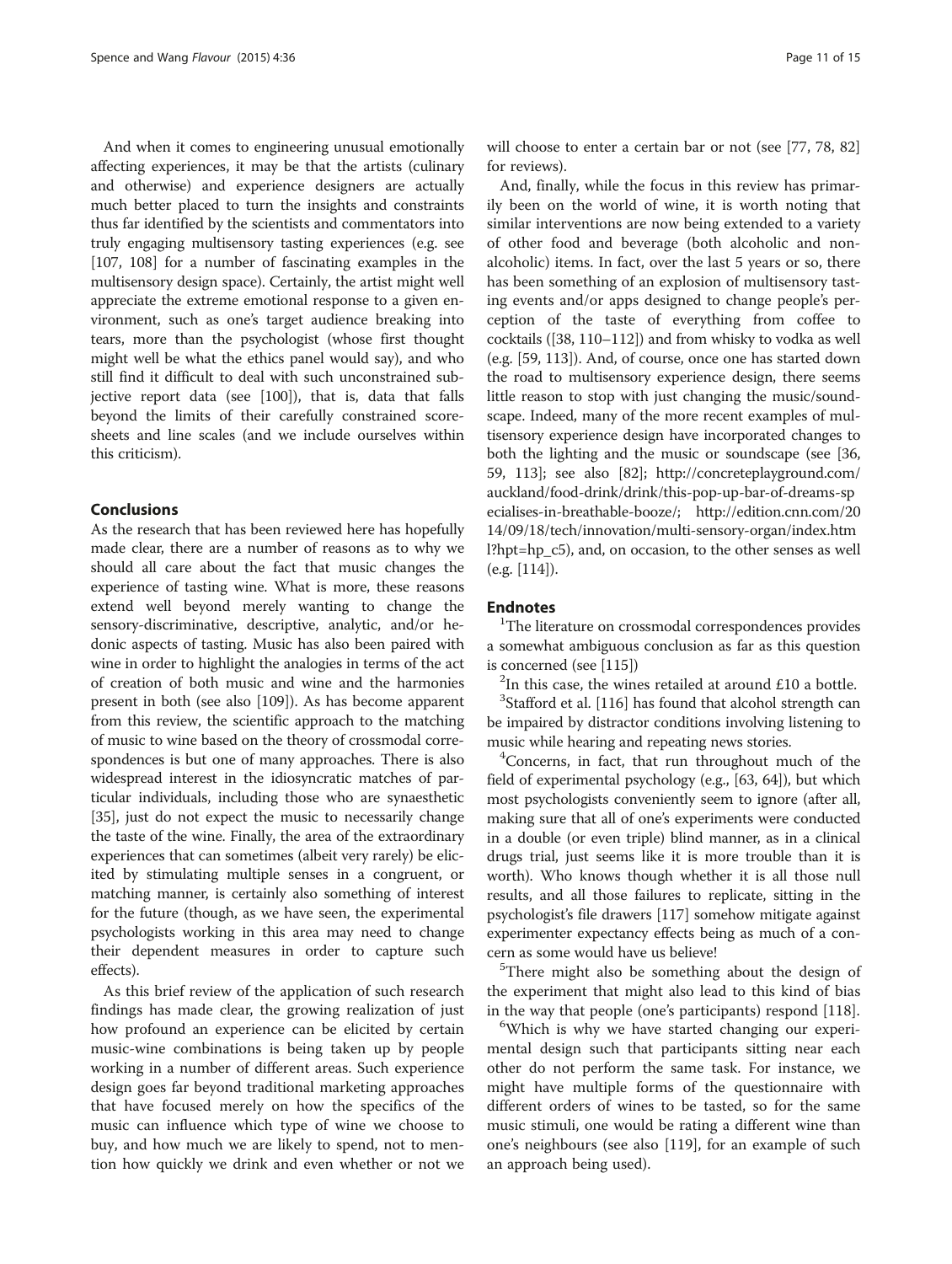And when it comes to engineering unusual emotionally affecting experiences, it may be that the artists (culinary and otherwise) and experience designers are actually much better placed to turn the insights and constraints thus far identified by the scientists and commentators into truly engaging multisensory tasting experiences (e.g. see [[107](#page-13-0), [108](#page-13-0)] for a number of fascinating examples in the multisensory design space). Certainly, the artist might well appreciate the extreme emotional response to a given environment, such as one's target audience breaking into tears, more than the psychologist (whose first thought might well be what the ethics panel would say), and who still find it difficult to deal with such unconstrained subjective report data (see [[100](#page-13-0)]), that is, data that falls beyond the limits of their carefully constrained scoresheets and line scales (and we include ourselves within this criticism).

### Conclusions

As the research that has been reviewed here has hopefully made clear, there are a number of reasons as to why we should all care about the fact that music changes the experience of tasting wine. What is more, these reasons extend well beyond merely wanting to change the sensory-discriminative, descriptive, analytic, and/or hedonic aspects of tasting. Music has also been paired with wine in order to highlight the analogies in terms of the act of creation of both music and wine and the harmonies present in both (see also [[109](#page-13-0)]). As has become apparent from this review, the scientific approach to the matching of music to wine based on the theory of crossmodal correspondences is but one of many approaches. There is also widespread interest in the idiosyncratic matches of particular individuals, including those who are synaesthetic [[35](#page-12-0)], just do not expect the music to necessarily change the taste of the wine. Finally, the area of the extraordinary experiences that can sometimes (albeit very rarely) be elicited by stimulating multiple senses in a congruent, or matching manner, is certainly also something of interest for the future (though, as we have seen, the experimental psychologists working in this area may need to change their dependent measures in order to capture such effects).

As this brief review of the application of such research findings has made clear, the growing realization of just how profound an experience can be elicited by certain music-wine combinations is being taken up by people working in a number of different areas. Such experience design goes far beyond traditional marketing approaches that have focused merely on how the specifics of the music can influence which type of wine we choose to buy, and how much we are likely to spend, not to mention how quickly we drink and even whether or not we

will choose to enter a certain bar or not (see [\[77](#page-13-0), [78](#page-13-0), [82](#page-13-0)] for reviews).

And, finally, while the focus in this review has primarily been on the world of wine, it is worth noting that similar interventions are now being extended to a variety of other food and beverage (both alcoholic and nonalcoholic) items. In fact, over the last 5 years or so, there has been something of an explosion of multisensory tasting events and/or apps designed to change people's perception of the taste of everything from coffee to cocktails ([\[38,](#page-12-0) [110](#page-13-0)–[112](#page-13-0)]) and from whisky to vodka as well (e.g. [[59](#page-13-0), [113\]](#page-13-0)). And, of course, once one has started down the road to multisensory experience design, there seems little reason to stop with just changing the music/soundscape. Indeed, many of the more recent examples of multisensory experience design have incorporated changes to both the lighting and the music or soundscape (see [[36](#page-12-0), [59](#page-13-0), [113\]](#page-13-0); see also [\[82\]](#page-13-0); [http://concreteplayground.com/](http://concreteplayground.com/auckland/food-drink/drink/this-pop-up-bar-of-dreams-specialises-in-breathable-booze/) [auckland/food-drink/drink/this-pop-up-bar-of-dreams-sp](http://concreteplayground.com/auckland/food-drink/drink/this-pop-up-bar-of-dreams-specialises-in-breathable-booze/) [ecialises-in-breathable-booze/;](http://concreteplayground.com/auckland/food-drink/drink/this-pop-up-bar-of-dreams-specialises-in-breathable-booze/) [http://edition.cnn.com/20](http://edition.cnn.com/2014/09/18/tech/innovation/multi-sensory-organ/index.html?hpt=hp_c5) [14/09/18/tech/innovation/multi-sensory-organ/index.htm](http://edition.cnn.com/2014/09/18/tech/innovation/multi-sensory-organ/index.html?hpt=hp_c5) [l?hpt=hp\\_c5](http://edition.cnn.com/2014/09/18/tech/innovation/multi-sensory-organ/index.html?hpt=hp_c5)), and, on occasion, to the other senses as well (e.g. [[114](#page-13-0)]).

# Endnotes

<sup>1</sup>The literature on crossmodal correspondences provides a somewhat ambiguous conclusion as far as this question is concerned (see [[115](#page-13-0)]) <sup>2</sup>

 $2$ In this case, the wines retailed at around £10 a bottle.

<sup>3</sup>Stafford et al. [[116](#page-13-0)] has found that alcohol strength can be impaired by distractor conditions involving listening to music while hearing and repeating news stories. <sup>4</sup>

<sup>4</sup>Concerns, in fact, that run throughout much of the field of experimental psychology (e.g., [\[63](#page-13-0), [64\]](#page-13-0)), but which most psychologists conveniently seem to ignore (after all, making sure that all of one's experiments were conducted in a double (or even triple) blind manner, as in a clinical drugs trial, just seems like it is more trouble than it is worth). Who knows though whether it is all those null results, and all those failures to replicate, sitting in the psychologist's file drawers [[117](#page-13-0)] somehow mitigate against experimenter expectancy effects being as much of a concern as some would have us believe! <sup>5</sup>

There might also be something about the design of the experiment that might also lead to this kind of bias in the way that people (one's participants) respond [\[118\]](#page-13-0).

Which is why we have started changing our experimental design such that participants sitting near each other do not perform the same task. For instance, we might have multiple forms of the questionnaire with different orders of wines to be tasted, so for the same music stimuli, one would be rating a different wine than one's neighbours (see also [[119\]](#page-13-0), for an example of such an approach being used).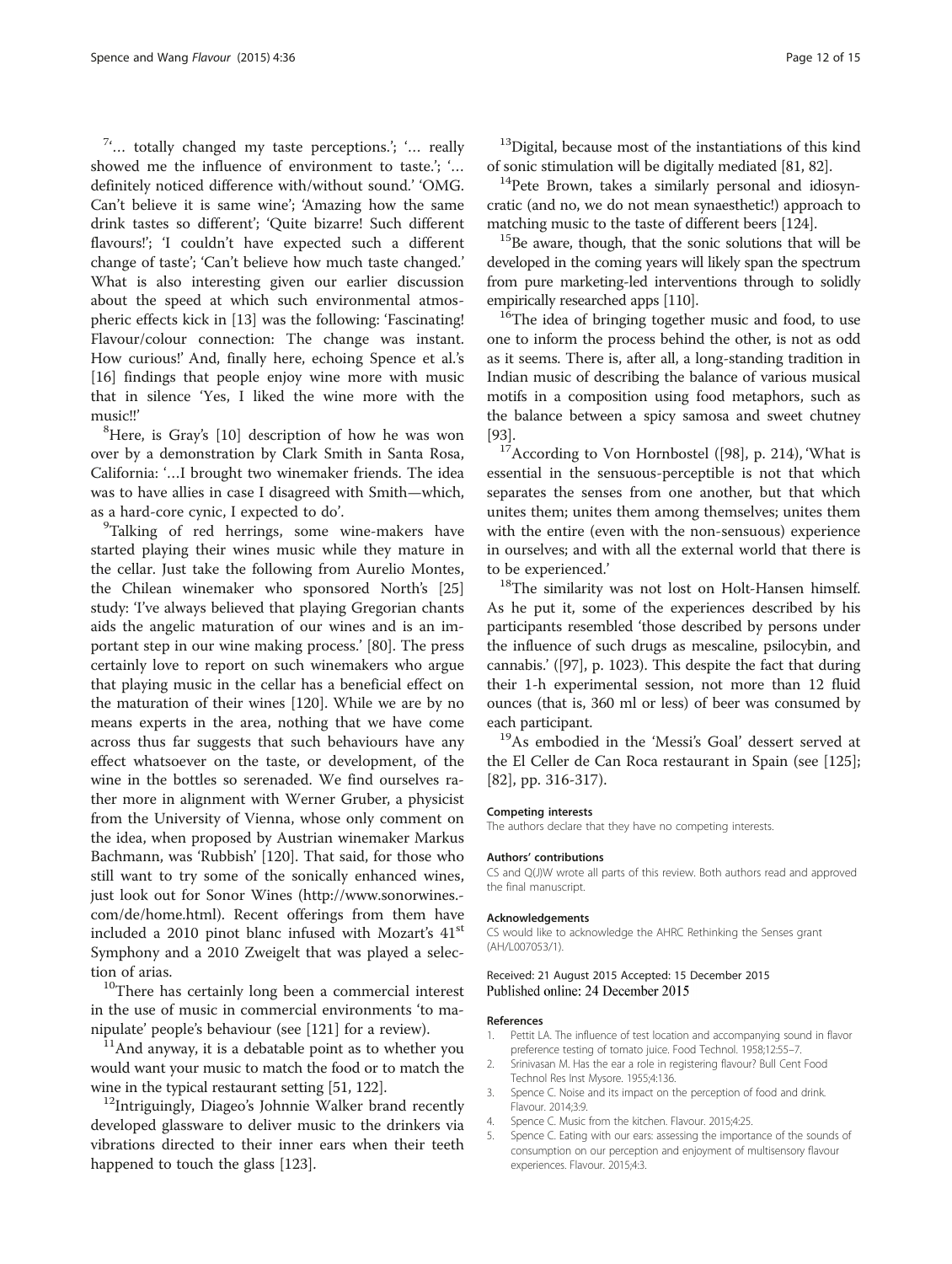<span id="page-11-0"></span>7 '… totally changed my taste perceptions.'; '… really showed me the influence of environment to taste.'; '… definitely noticed difference with/without sound.' 'OMG. Can't believe it is same wine'; 'Amazing how the same drink tastes so different'; 'Quite bizarre! Such different flavours!'; 'I couldn't have expected such a different change of taste'; 'Can't believe how much taste changed.' What is also interesting given our earlier discussion about the speed at which such environmental atmospheric effects kick in [[13\]](#page-12-0) was the following: 'Fascinating! Flavour/colour connection: The change was instant. How curious!' And, finally here, echoing Spence et al.'s [[16\]](#page-12-0) findings that people enjoy wine more with music that in silence 'Yes, I liked the wine more with the music!!

 ${}^{8}$ Here, is Gray's [\[10\]](#page-12-0) description of how he was won over by a demonstration by Clark Smith in Santa Rosa, California: '…I brought two winemaker friends. The idea was to have allies in case I disagreed with Smith—which, as a hard-core cynic, I expected to do'.

<sup>9</sup>Talking of red herrings, some wine-makers have started playing their wines music while they mature in the cellar. Just take the following from Aurelio Montes, the Chilean winemaker who sponsored North's [[25](#page-12-0)] study: 'I've always believed that playing Gregorian chants aids the angelic maturation of our wines and is an important step in our wine making process.' [[80](#page-13-0)]. The press certainly love to report on such winemakers who argue that playing music in the cellar has a beneficial effect on the maturation of their wines [\[120\]](#page-13-0). While we are by no means experts in the area, nothing that we have come across thus far suggests that such behaviours have any effect whatsoever on the taste, or development, of the wine in the bottles so serenaded. We find ourselves rather more in alignment with Werner Gruber, a physicist from the University of Vienna, whose only comment on the idea, when proposed by Austrian winemaker Markus Bachmann, was 'Rubbish' [[120](#page-13-0)]. That said, for those who still want to try some of the sonically enhanced wines, just look out for Sonor Wines ([http://www.sonorwines.](http://www.sonorwines.com/de/home.html) [com/de/home.html\)](http://www.sonorwines.com/de/home.html). Recent offerings from them have included a 2010 pinot blanc infused with Mozart's  $41<sup>st</sup>$ Symphony and a 2010 Zweigelt that was played a selection of arias.<br> $10$ There has certainly long been a commercial interest

in the use of music in commercial environments 'to ma-nipulate' people's behaviour (see [[121](#page-14-0)] for a review).<br> $11And$  anyway, it is a debatable point as to whether you

would want your music to match the food or to match the wine in the typical restaurant setting [\[51,](#page-12-0) [122](#page-14-0)].<br><sup>12</sup>Intriguingly, Diageo's Johnnie Walker brand recently

developed glassware to deliver music to the drinkers via vibrations directed to their inner ears when their teeth happened to touch the glass [[123\]](#page-14-0).

<sup>13</sup>Digital, because most of the instantiations of this kind of sonic stimulation will be digitally mediated [[81](#page-13-0), [82\]](#page-13-0).<br><sup>14</sup>Pete Brown, takes a similarly personal and idiosyn-

cratic (and no, we do not mean synaesthetic!) approach to matching music to the taste of different beers [[124](#page-14-0)].<br><sup>15</sup>Be aware, though, that the sonic solutions that will be

developed in the coming years will likely span the spectrum from pure marketing-led interventions through to solidly empirically researched apps [\[110](#page-13-0)].<br><sup>16</sup>The idea of bringing together music and food, to use

one to inform the process behind the other, is not as odd as it seems. There is, after all, a long-standing tradition in Indian music of describing the balance of various musical motifs in a composition using food metaphors, such as the balance between a spicy samosa and sweet chutney [[93](#page-13-0)].<br> $17$ According to Von Hornbostel ([\[98](#page-13-0)], p. 214), 'What is

essential in the sensuous-perceptible is not that which separates the senses from one another, but that which unites them; unites them among themselves; unites them with the entire (even with the non-sensuous) experience in ourselves; and with all the external world that there is

to be experienced.'<br><sup>18</sup>The similarity was not lost on Holt-Hansen himself. As he put it, some of the experiences described by his participants resembled 'those described by persons under the influence of such drugs as mescaline, psilocybin, and cannabis.' ([[97](#page-13-0)], p. 1023). This despite the fact that during their 1-h experimental session, not more than 12 fluid ounces (that is, 360 ml or less) of beer was consumed by each participant.<br><sup>19</sup>As embodied in the 'Messi's Goal' dessert served at

the El Celler de Can Roca restaurant in Spain (see [[125](#page-14-0)]; [[82\]](#page-13-0), pp. 316-317).

#### Competing interests

The authors declare that they have no competing interests.

#### Authors' contributions

CS and Q(J)W wrote all parts of this review. Both authors read and approved the final manuscript.

#### Acknowledgements

CS would like to acknowledge the AHRC Rethinking the Senses grant (AH/L007053/1).

#### Received: 21 August 2015 Accepted: 15 December 2015 Published online: 24 December 2015

#### References

- 1. Pettit LA. The influence of test location and accompanying sound in flavor preference testing of tomato juice. Food Technol. 1958;12:55–7.
- 2. Srinivasan M. Has the ear a role in registering flavour? Bull Cent Food Technol Res Inst Mysore. 1955;4:136.
- 3. Spence C. Noise and its impact on the perception of food and drink. Flavour. 2014;3:9.
- 4. Spence C. Music from the kitchen. Flavour. 2015;4:25.
- 5. Spence C. Eating with our ears: assessing the importance of the sounds of consumption on our perception and enjoyment of multisensory flavour experiences. Flavour. 2015;4:3.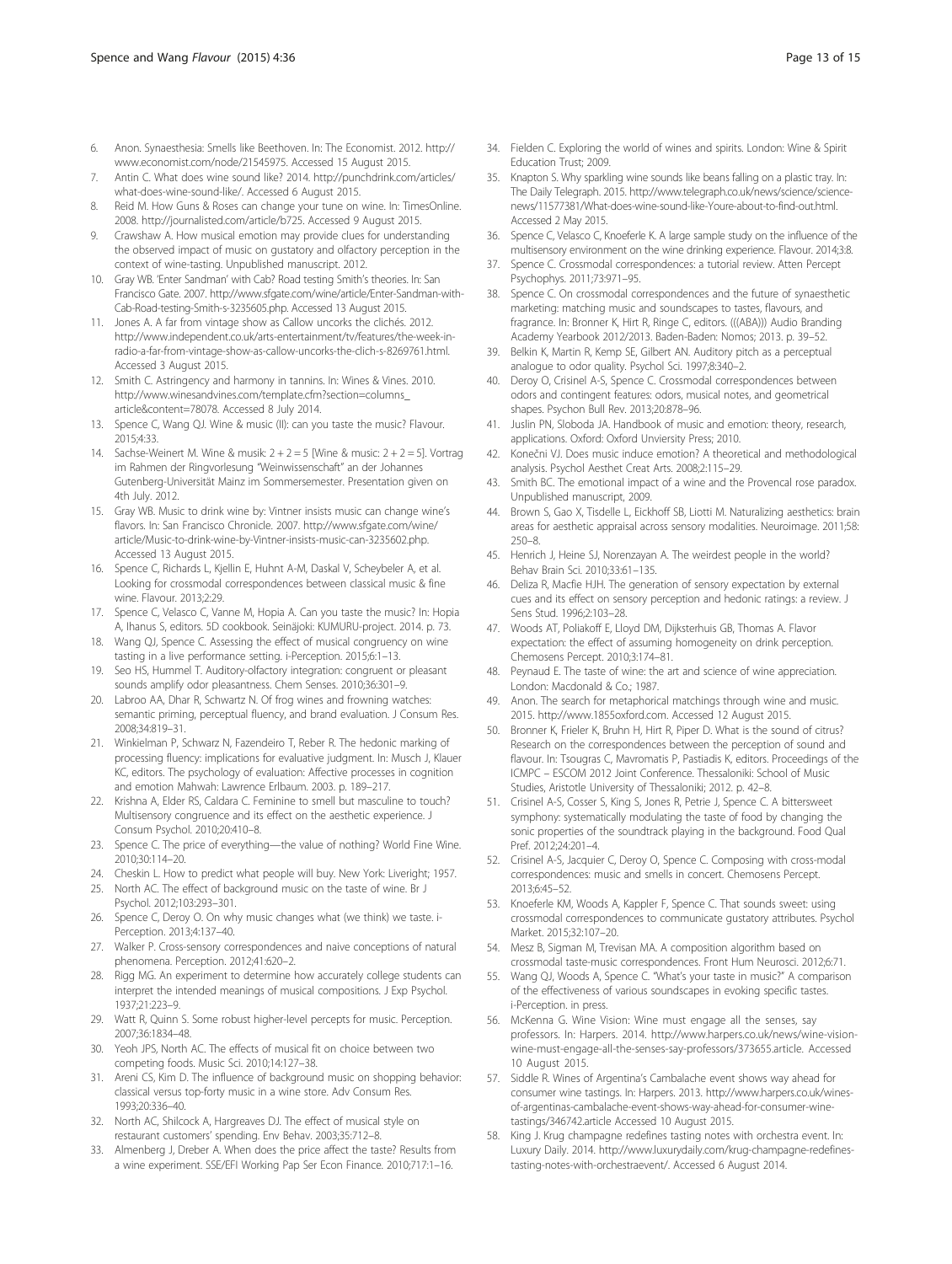- <span id="page-12-0"></span>6. Anon. Synaesthesia: Smells like Beethoven. In: The Economist. 2012. [http://](http://www.economist.com/node/21545975) [www.economist.com/node/21545975](http://www.economist.com/node/21545975). Accessed 15 August 2015.
- 7. Antin C. What does wine sound like? 2014. [http://punchdrink.com/articles/](http://punchdrink.com/articles/what-does-wine-sound-like/) [what-does-wine-sound-like/](http://punchdrink.com/articles/what-does-wine-sound-like/). Accessed 6 August 2015.
- 8. Reid M. How Guns & Roses can change your tune on wine. In: TimesOnline. 2008.<http://journalisted.com/article/b725>. Accessed 9 August 2015.
- 9. Crawshaw A. How musical emotion may provide clues for understanding the observed impact of music on gustatory and olfactory perception in the context of wine-tasting. Unpublished manuscript. 2012.
- 10. Gray WB. 'Enter Sandman' with Cab? Road testing Smith's theories. In: San Francisco Gate. 2007. [http://www.sfgate.com/wine/article/Enter-Sandman-with-](http://www.sfgate.com/wine/article/Enter-Sandman-with-Cab-Road-testing-Smith-s-3235605.php)[Cab-Road-testing-Smith-s-3235605.php](http://www.sfgate.com/wine/article/Enter-Sandman-with-Cab-Road-testing-Smith-s-3235605.php). Accessed 13 August 2015.
- 11. Jones A. A far from vintage show as Callow uncorks the clichés. 2012. [http://www.independent.co.uk/arts-entertainment/tv/features/the-week-in](http://www.independent.co.uk/arts-entertainment/tv/features/the-week-in-radio-a-far-from-vintage-show-as-callow-uncorks-the-clich-s-8269761.html)[radio-a-far-from-vintage-show-as-callow-uncorks-the-clich-s-8269761.html](http://www.independent.co.uk/arts-entertainment/tv/features/the-week-in-radio-a-far-from-vintage-show-as-callow-uncorks-the-clich-s-8269761.html). Accessed 3 August 2015.
- 12. Smith C. Astringency and harmony in tannins. In: Wines & Vines. 2010. [http://www.winesandvines.com/template.cfm?section=columns\\_](http://www.winesandvines.com/template.cfm?section=columns_article&content=78078) [article&content=78078](http://www.winesandvines.com/template.cfm?section=columns_article&content=78078). Accessed 8 July 2014.
- 13. Spence C, Wang QJ. Wine & music (II): can you taste the music? Flavour. 2015;4:33.
- 14. Sachse-Weinert M. Wine & musik:  $2 + 2 = 5$  [Wine & music:  $2 + 2 = 5$ ]. Vortrag im Rahmen der Ringvorlesung "Weinwissenschaft" an der Johannes Gutenberg-Universität Mainz im Sommersemester. Presentation given on 4th July. 2012.
- 15. Gray WB. Music to drink wine by: Vintner insists music can change wine's flavors. In: San Francisco Chronicle. 2007. [http://www.sfgate.com/wine/](http://www.sfgate.com/wine/article/Music-to-drink-wine-by-Vintner-insists-music-can-3235602.php) [article/Music-to-drink-wine-by-Vintner-insists-music-can-3235602.php](http://www.sfgate.com/wine/article/Music-to-drink-wine-by-Vintner-insists-music-can-3235602.php). Accessed 13 August 2015.
- 16. Spence C, Richards L, Kjellin E, Huhnt A-M, Daskal V, Scheybeler A, et al. Looking for crossmodal correspondences between classical music & fine wine. Flavour. 2013;2:29.
- 17. Spence C, Velasco C, Vanne M, Hopia A. Can you taste the music? In: Hopia A, Ihanus S, editors. 5D cookbook. Seinäjoki: KUMURU-project. 2014. p. 73.
- 18. Wang QJ, Spence C. Assessing the effect of musical congruency on wine tasting in a live performance setting. i-Perception. 2015;6:1–13.
- 19. Seo HS, Hummel T. Auditory-olfactory integration: congruent or pleasant sounds amplify odor pleasantness. Chem Senses. 2010;36:301–9.
- 20. Labroo AA, Dhar R, Schwartz N. Of frog wines and frowning watches: semantic priming, perceptual fluency, and brand evaluation. J Consum Res. 2008;34:819–31.
- 21. Winkielman P, Schwarz N, Fazendeiro T, Reber R. The hedonic marking of processing fluency: implications for evaluative judgment. In: Musch J, Klauer KC, editors. The psychology of evaluation: Affective processes in cognition and emotion Mahwah: Lawrence Erlbaum. 2003. p. 189–217.
- 22. Krishna A, Elder RS, Caldara C. Feminine to smell but masculine to touch? Multisensory congruence and its effect on the aesthetic experience. J Consum Psychol. 2010;20:410–8.
- 23. Spence C. The price of everything—the value of nothing? World Fine Wine. 2010;30:114–20.
- 24. Cheskin L. How to predict what people will buy. New York: Liveright; 1957.
- 25. North AC. The effect of background music on the taste of wine. Br J Psychol. 2012;103:293–301.
- 26. Spence C, Deroy O. On why music changes what (we think) we taste. i-Perception. 2013;4:137–40.
- 27. Walker P. Cross-sensory correspondences and naive conceptions of natural phenomena. Perception. 2012;41:620–2.
- 28. Rigg MG. An experiment to determine how accurately college students can interpret the intended meanings of musical compositions. J Exp Psychol. 1937;21:223–9.
- 29. Watt R, Quinn S. Some robust higher-level percepts for music. Perception. 2007;36:1834–48.
- 30. Yeoh JPS, North AC. The effects of musical fit on choice between two competing foods. Music Sci. 2010;14:127–38.
- 31. Areni CS, Kim D. The influence of background music on shopping behavior: classical versus top-forty music in a wine store. Adv Consum Res. 1993;20:336–40.
- 32. North AC, Shilcock A, Hargreaves DJ. The effect of musical style on restaurant customers' spending. Env Behav. 2003;35:712–8.
- 33. Almenberg J, Dreber A. When does the price affect the taste? Results from a wine experiment. SSE/EFI Working Pap Ser Econ Finance. 2010;717:1–16.
- 34. Fielden C. Exploring the world of wines and spirits. London: Wine & Spirit Education Trust; 2009.
- 35. Knapton S. Why sparkling wine sounds like beans falling on a plastic tray. In: The Daily Telegraph. 2015. [http://www.telegraph.co.uk/news/science/science](http://www.telegraph.co.uk/news/science/science-news/11577381/What-does-wine-sound-like-Youre-about-to-find-out.html)[news/11577381/What-does-wine-sound-like-Youre-about-to-find-out.html](http://www.telegraph.co.uk/news/science/science-news/11577381/What-does-wine-sound-like-Youre-about-to-find-out.html). Accessed 2 May 2015.
- 36. Spence C, Velasco C, Knoeferle K. A large sample study on the influence of the multisensory environment on the wine drinking experience. Flavour. 2014;3:8.
- 37. Spence C. Crossmodal correspondences: a tutorial review. Atten Percept Psychophys. 2011;73:971–95.
- 38. Spence C. On crossmodal correspondences and the future of synaesthetic marketing: matching music and soundscapes to tastes, flavours, and fragrance. In: Bronner K, Hirt R, Ringe C, editors. (((ABA))) Audio Branding Academy Yearbook 2012/2013. Baden-Baden: Nomos; 2013. p. 39–52.
- 39. Belkin K, Martin R, Kemp SE, Gilbert AN. Auditory pitch as a perceptual analogue to odor quality. Psychol Sci. 1997;8:340–2.
- 40. Deroy O, Crisinel A-S, Spence C. Crossmodal correspondences between odors and contingent features: odors, musical notes, and geometrical shapes. Psychon Bull Rev. 2013;20:878–96.
- 41. Juslin PN, Sloboda JA. Handbook of music and emotion: theory, research, applications. Oxford: Oxford Unviersity Press; 2010.
- 42. Konečni VJ. Does music induce emotion? A theoretical and methodological analysis. Psychol Aesthet Creat Arts. 2008;2:115–29.
- 43. Smith BC. The emotional impact of a wine and the Provencal rose paradox. Unpublished manuscript, 2009.
- 44. Brown S, Gao X, Tisdelle L, Eickhoff SB, Liotti M. Naturalizing aesthetics: brain areas for aesthetic appraisal across sensory modalities. Neuroimage. 2011;58: 250–8.
- 45. Henrich J, Heine SJ, Norenzayan A. The weirdest people in the world? Behav Brain Sci. 2010;33:61–135.
- 46. Deliza R, Macfie HJH. The generation of sensory expectation by external cues and its effect on sensory perception and hedonic ratings: a review. J Sens Stud. 1996;2:103–28.
- 47. Woods AT, Poliakoff E, Lloyd DM, Dijksterhuis GB, Thomas A. Flavor expectation: the effect of assuming homogeneity on drink perception. Chemosens Percept. 2010;3:174–81.
- 48. Peynaud E. The taste of wine: the art and science of wine appreciation. London: Macdonald & Co.; 1987.
- 49. Anon. The search for metaphorical matchings through wine and music. 2015. [http://www.1855oxford.com](http://www.1855oxford.com/). Accessed 12 August 2015.
- 50. Bronner K, Frieler K, Bruhn H, Hirt R, Piper D. What is the sound of citrus? Research on the correspondences between the perception of sound and flavour. In: Tsougras C, Mavromatis P, Pastiadis K, editors. Proceedings of the ICMPC – ESCOM 2012 Joint Conference. Thessaloniki: School of Music Studies, Aristotle University of Thessaloniki; 2012. p. 42–8.
- 51. Crisinel A-S, Cosser S, King S, Jones R, Petrie J, Spence C. A bittersweet symphony: systematically modulating the taste of food by changing the sonic properties of the soundtrack playing in the background. Food Qual Pref. 2012;24:201–4.
- 52. Crisinel A-S, Jacquier C, Deroy O, Spence C. Composing with cross-modal correspondences: music and smells in concert. Chemosens Percept. 2013;6:45–52.
- 53. Knoeferle KM, Woods A, Kappler F, Spence C. That sounds sweet: using crossmodal correspondences to communicate gustatory attributes. Psychol Market. 2015;32:107–20.
- 54. Mesz B, Sigman M, Trevisan MA. A composition algorithm based on crossmodal taste-music correspondences. Front Hum Neurosci. 2012;6:71.
- 55. Wang QJ, Woods A, Spence C. "What's your taste in music?" A comparison of the effectiveness of various soundscapes in evoking specific tastes. i-Perception. in press.
- 56. McKenna G. Wine Vision: Wine must engage all the senses, say professors. In: Harpers. 2014. [http://www.harpers.co.uk/news/wine-vision](http://www.harpers.co.uk/news/wine-vision-wine-must-engage-all-the-senses-say-professors/373655.article)[wine-must-engage-all-the-senses-say-professors/373655.article.](http://www.harpers.co.uk/news/wine-vision-wine-must-engage-all-the-senses-say-professors/373655.article) Accessed 10 August 2015.
- 57. Siddle R. Wines of Argentina's Cambalache event shows way ahead for consumer wine tastings. In: Harpers. 2013. [http://www.harpers.co.uk/wines](http://www.harpers.co.uk/wines-of-argentinas-cambalache-event-shows-way-ahead-for-consumer-wine-tastings/346742.article)[of-argentinas-cambalache-event-shows-way-ahead-for-consumer-wine](http://www.harpers.co.uk/wines-of-argentinas-cambalache-event-shows-way-ahead-for-consumer-wine-tastings/346742.article)[tastings/346742.article](http://www.harpers.co.uk/wines-of-argentinas-cambalache-event-shows-way-ahead-for-consumer-wine-tastings/346742.article) Accessed 10 August 2015.
- King J. Krug champagne redefines tasting notes with orchestra event. In: Luxury Daily. 2014. [http://www.luxurydaily.com/krug-champagne-redefines](http://www.luxurydaily.com/krug-champagne-redefines-tasting-notes-with-orchestraevent/)[tasting-notes-with-orchestraevent/.](http://www.luxurydaily.com/krug-champagne-redefines-tasting-notes-with-orchestraevent/) Accessed 6 August 2014.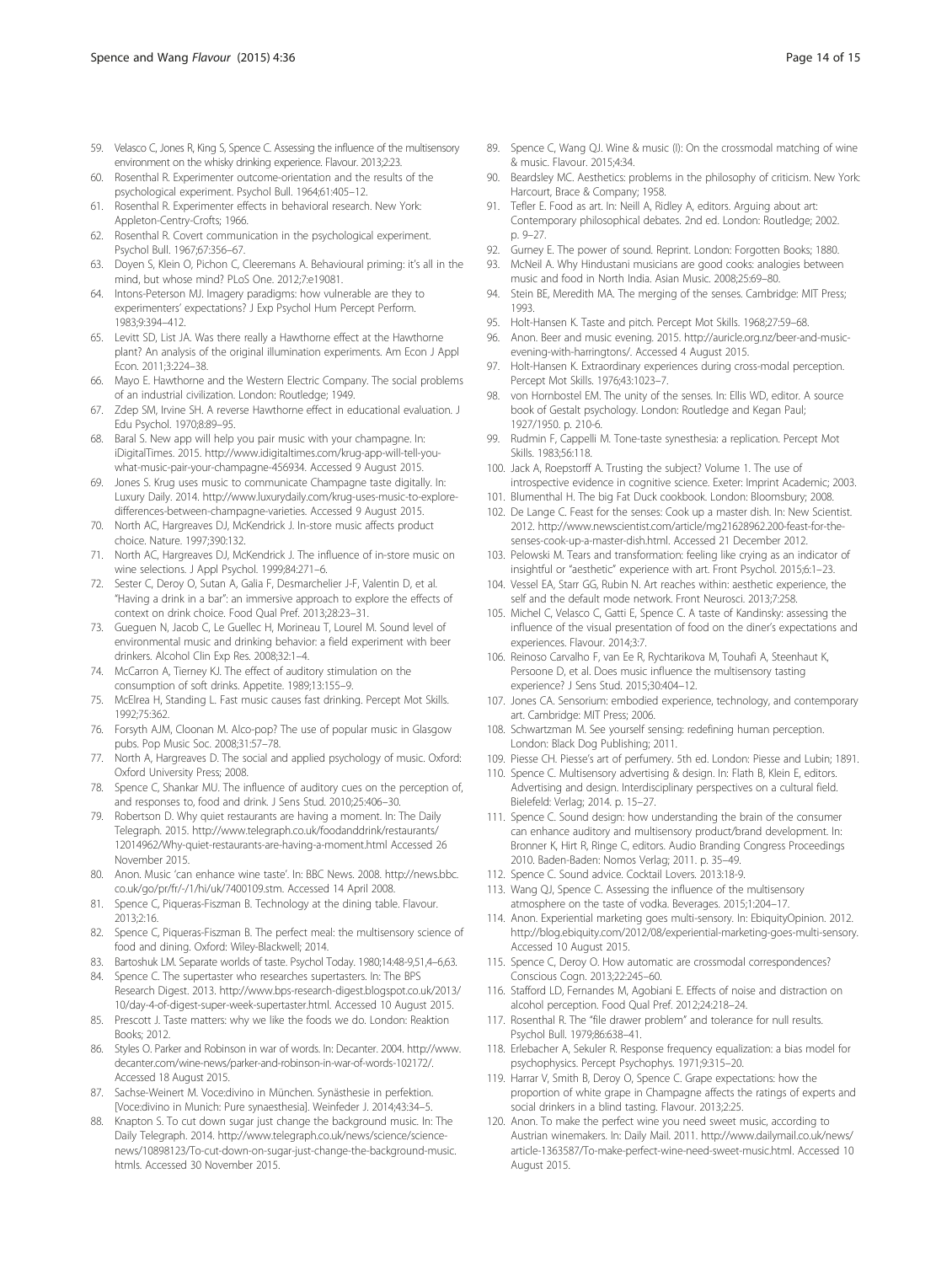- <span id="page-13-0"></span>59. Velasco C, Jones R, King S, Spence C. Assessing the influence of the multisensory environment on the whisky drinking experience. Flavour. 2013;2:23.
- 60. Rosenthal R. Experimenter outcome-orientation and the results of the psychological experiment. Psychol Bull. 1964;61:405–12.
- 61. Rosenthal R. Experimenter effects in behavioral research. New York: Appleton-Centry-Crofts; 1966.
- 62. Rosenthal R. Covert communication in the psychological experiment. Psychol Bull. 1967;67:356–67.
- 63. Doyen S, Klein O, Pichon C, Cleeremans A. Behavioural priming: it's all in the mind, but whose mind? PLoS One. 2012;7:e19081.
- 64. Intons-Peterson MJ. Imagery paradigms: how vulnerable are they to experimenters' expectations? J Exp Psychol Hum Percept Perform. 1983;9:394–412.
- 65. Levitt SD, List JA. Was there really a Hawthorne effect at the Hawthorne plant? An analysis of the original illumination experiments. Am Econ J Appl Econ. 2011;3:224–38.
- 66. Mayo E. Hawthorne and the Western Electric Company. The social problems of an industrial civilization. London: Routledge; 1949.
- 67. Zdep SM, Irvine SH. A reverse Hawthorne effect in educational evaluation. J Edu Psychol. 1970;8:89–95.
- 68. Baral S. New app will help you pair music with your champagne. In: iDigitalTimes. 2015. [http://www.idigitaltimes.com/krug-app-will-tell-you](http://www.idigitaltimes.com/krug-app-will-tell-you-what-music-pair-your-champagne-456934)[what-music-pair-your-champagne-456934.](http://www.idigitaltimes.com/krug-app-will-tell-you-what-music-pair-your-champagne-456934) Accessed 9 August 2015.
- 69. Jones S. Krug uses music to communicate Champagne taste digitally. In: Luxury Daily. 2014. [http://www.luxurydaily.com/krug-uses-music-to-explore](http://www.luxurydaily.com/krug-uses-music-to-explore-differences-between-champagne-varieties)[differences-between-champagne-varieties.](http://www.luxurydaily.com/krug-uses-music-to-explore-differences-between-champagne-varieties) Accessed 9 August 2015.
- 70. North AC, Hargreaves DJ, McKendrick J. In-store music affects product choice. Nature. 1997;390:132.
- 71. North AC, Hargreaves DJ, McKendrick J. The influence of in-store music on wine selections. J Appl Psychol. 1999;84:271–6.
- 72. Sester C, Deroy O, Sutan A, Galia F, Desmarchelier J-F, Valentin D, et al. "Having a drink in a bar": an immersive approach to explore the effects of context on drink choice. Food Qual Pref. 2013;28:23–31.
- 73. Gueguen N, Jacob C, Le Guellec H, Morineau T, Lourel M. Sound level of environmental music and drinking behavior: a field experiment with beer drinkers. Alcohol Clin Exp Res. 2008;32:1–4.
- 74. McCarron A, Tierney KJ. The effect of auditory stimulation on the consumption of soft drinks. Appetite. 1989;13:155–9.
- 75. McElrea H, Standing L. Fast music causes fast drinking. Percept Mot Skills. 1992;75:362.
- 76. Forsyth AJM, Cloonan M. Alco-pop? The use of popular music in Glasgow pubs. Pop Music Soc. 2008;31:57–78.
- 77. North A, Hargreaves D. The social and applied psychology of music. Oxford: Oxford University Press; 2008.
- 78. Spence C, Shankar MU. The influence of auditory cues on the perception of, and responses to, food and drink. J Sens Stud. 2010;25:406–30.
- Robertson D. Why quiet restaurants are having a moment. In: The Daily Telegraph. 2015. [http://www.telegraph.co.uk/foodanddrink/restaurants/](http://www.telegraph.co.uk/foodanddrink/restaurants/12014962/Why-quiet-restaurants-are-having-a-moment.html) [12014962/Why-quiet-restaurants-are-having-a-moment.html](http://www.telegraph.co.uk/foodanddrink/restaurants/12014962/Why-quiet-restaurants-are-having-a-moment.html) Accessed 26 November 2015.
- 80. Anon. Music 'can enhance wine taste'. In: BBC News. 2008. [http://news.bbc.](http://news.bbc.co.uk/go/pr/fr/-/1/hi/uk/7400109.stm) [co.uk/go/pr/fr/-/1/hi/uk/7400109.stm.](http://news.bbc.co.uk/go/pr/fr/-/1/hi/uk/7400109.stm) Accessed 14 April 2008.
- 81. Spence C, Piqueras-Fiszman B. Technology at the dining table. Flavour. 2013;2:16.
- 82. Spence C, Piqueras-Fiszman B. The perfect meal: the multisensory science of food and dining. Oxford: Wiley-Blackwell; 2014.
- 83. Bartoshuk LM. Separate worlds of taste. Psychol Today. 1980;14:48-9,51,4–6,63.
- 84. Spence C. The supertaster who researches supertasters. In: The BPS Research Digest. 2013. [http://www.bps-research-digest.blogspot.co.uk/2013/](http://www.bps-research-digest.blogspot.co.uk/2013/10/day-4-of-digest-super-week-supertaster.html) [10/day-4-of-digest-super-week-supertaster.html](http://www.bps-research-digest.blogspot.co.uk/2013/10/day-4-of-digest-super-week-supertaster.html). Accessed 10 August 2015.
- 85. Prescott J. Taste matters: why we like the foods we do. London: Reaktion Books; 2012.
- 86. Styles O. Parker and Robinson in war of words. In: Decanter. 2004. [http://www.](http://www.decanter.com/wine-news/parker-and-robinson-in-war-of-words-102172/) [decanter.com/wine-news/parker-and-robinson-in-war-of-words-102172/](http://www.decanter.com/wine-news/parker-and-robinson-in-war-of-words-102172/). Accessed 18 August 2015.
- 87. Sachse-Weinert M. Voce:divino in München. Synästhesie in perfektion. [Voce:divino in Munich: Pure synaesthesia]. Weinfeder J. 2014;43:34–5.
- 88. Knapton S. To cut down sugar just change the background music. In: The Daily Telegraph. 2014. [http://www.telegraph.co.uk/news/science/science](http://www.telegraph.co.uk/news/science/science-news/10898123/To-cut-down-on-sugar-just-change-the-background-music.htmls)[news/10898123/To-cut-down-on-sugar-just-change-the-background-music.](http://www.telegraph.co.uk/news/science/science-news/10898123/To-cut-down-on-sugar-just-change-the-background-music.htmls) [htmls](http://www.telegraph.co.uk/news/science/science-news/10898123/To-cut-down-on-sugar-just-change-the-background-music.htmls). Accessed 30 November 2015.
- 89. Spence C, Wang QJ. Wine & music (I): On the crossmodal matching of wine & music. Flavour. 2015;4:34.
- Beardsley MC. Aesthetics: problems in the philosophy of criticism. New York: Harcourt, Brace & Company; 1958.
- 91. Tefler E. Food as art. In: Neill A, Ridley A, editors. Arguing about art: Contemporary philosophical debates. 2nd ed. London: Routledge; 2002. p. 9–27.
- 92. Gurney E. The power of sound. Reprint. London: Forgotten Books; 1880.
- 93. McNeil A. Why Hindustani musicians are good cooks: analogies between music and food in North India. Asian Music. 2008;25:69–80.
- Stein BE, Meredith MA. The merging of the senses. Cambridge: MIT Press; 1993.
- 95. Holt-Hansen K. Taste and pitch. Percept Mot Skills. 1968;27:59–68.
- 96. Anon. Beer and music evening. 2015. [http://auricle.org.nz/beer-and-music](http://auricle.org.nz/beer-and-music-evening-with-harringtons/)[evening-with-harringtons/](http://auricle.org.nz/beer-and-music-evening-with-harringtons/). Accessed 4 August 2015.
- 97. Holt-Hansen K. Extraordinary experiences during cross-modal perception. Percept Mot Skills. 1976;43:1023–7.
- 98. von Hornbostel EM. The unity of the senses. In: Ellis WD, editor. A source book of Gestalt psychology. London: Routledge and Kegan Paul; 1927/1950. p. 210-6.
- 99. Rudmin F, Cappelli M. Tone-taste synesthesia: a replication. Percept Mot Skills. 1983;56:118.
- 100. Jack A, Roepstorff A. Trusting the subject? Volume 1. The use of introspective evidence in cognitive science. Exeter: Imprint Academic; 2003.
- 101. Blumenthal H. The big Fat Duck cookbook. London: Bloomsbury; 2008.
- 102. De Lange C. Feast for the senses: Cook up a master dish. In: New Scientist. 2012. [http://www.newscientist.com/article/mg21628962.200-feast-for-the](http://www.newscientist.com/article/mg21628962.200-feast-for-the-senses-cook-up-a-master-dish.html)[senses-cook-up-a-master-dish.html](http://www.newscientist.com/article/mg21628962.200-feast-for-the-senses-cook-up-a-master-dish.html). Accessed 21 December 2012.
- 103. Pelowski M. Tears and transformation: feeling like crying as an indicator of insightful or "aesthetic" experience with art. Front Psychol. 2015;6:1–23.
- 104. Vessel EA, Starr GG, Rubin N. Art reaches within: aesthetic experience, the self and the default mode network. Front Neurosci. 2013;7:258.
- 105. Michel C, Velasco C, Gatti E, Spence C. A taste of Kandinsky: assessing the influence of the visual presentation of food on the diner's expectations and experiences. Flavour. 2014;3:7.
- 106. Reinoso Carvalho F, van Ee R, Rychtarikova M, Touhafi A, Steenhaut K, Persoone D, et al. Does music influence the multisensory tasting experience? J Sens Stud. 2015;30:404–12.
- 107. Jones CA. Sensorium: embodied experience, technology, and contemporary art. Cambridge: MIT Press; 2006.
- 108. Schwartzman M. See yourself sensing: redefining human perception. London: Black Dog Publishing; 2011.
- 109. Piesse CH. Piesse's art of perfumery. 5th ed. London: Piesse and Lubin; 1891.
- 110. Spence C. Multisensory advertising & design. In: Flath B, Klein E, editors. Advertising and design. Interdisciplinary perspectives on a cultural field. Bielefeld: Verlag; 2014. p. 15–27.
- 111. Spence C. Sound design: how understanding the brain of the consumer can enhance auditory and multisensory product/brand development. In: Bronner K, Hirt R, Ringe C, editors. Audio Branding Congress Proceedings 2010. Baden-Baden: Nomos Verlag; 2011. p. 35–49.
- 112. Spence C. Sound advice. Cocktail Lovers. 2013:18-9.
- 113. Wang QJ, Spence C. Assessing the influence of the multisensory atmosphere on the taste of vodka. Beverages. 2015;1:204–17.
- 114. Anon. Experiential marketing goes multi-sensory. In: EbiquityOpinion. 2012. <http://blog.ebiquity.com/2012/08/experiential-marketing-goes-multi-sensory>. Accessed 10 August 2015.
- 115. Spence C, Deroy O. How automatic are crossmodal correspondences? Conscious Cogn. 2013;22:245–60.
- 116. Stafford LD, Fernandes M, Agobiani E. Effects of noise and distraction on alcohol perception. Food Qual Pref. 2012;24:218–24.
- 117. Rosenthal R. The "file drawer problem" and tolerance for null results. Psychol Bull. 1979;86:638–41.
- 118. Erlebacher A, Sekuler R. Response frequency equalization: a bias model for psychophysics. Percept Psychophys. 1971;9:315–20.
- 119. Harrar V, Smith B, Deroy O, Spence C. Grape expectations: how the proportion of white grape in Champagne affects the ratings of experts and social drinkers in a blind tasting. Flavour. 2013;2:25.
- 120. Anon. To make the perfect wine you need sweet music, according to Austrian winemakers. In: Daily Mail. 2011. [http://www.dailymail.co.uk/news/](http://www.dailymail.co.uk/news/article-1363587/To-make-perfect-wine-need-sweet-music.html) [article-1363587/To-make-perfect-wine-need-sweet-music.html.](http://www.dailymail.co.uk/news/article-1363587/To-make-perfect-wine-need-sweet-music.html) Accessed 10 August 2015.